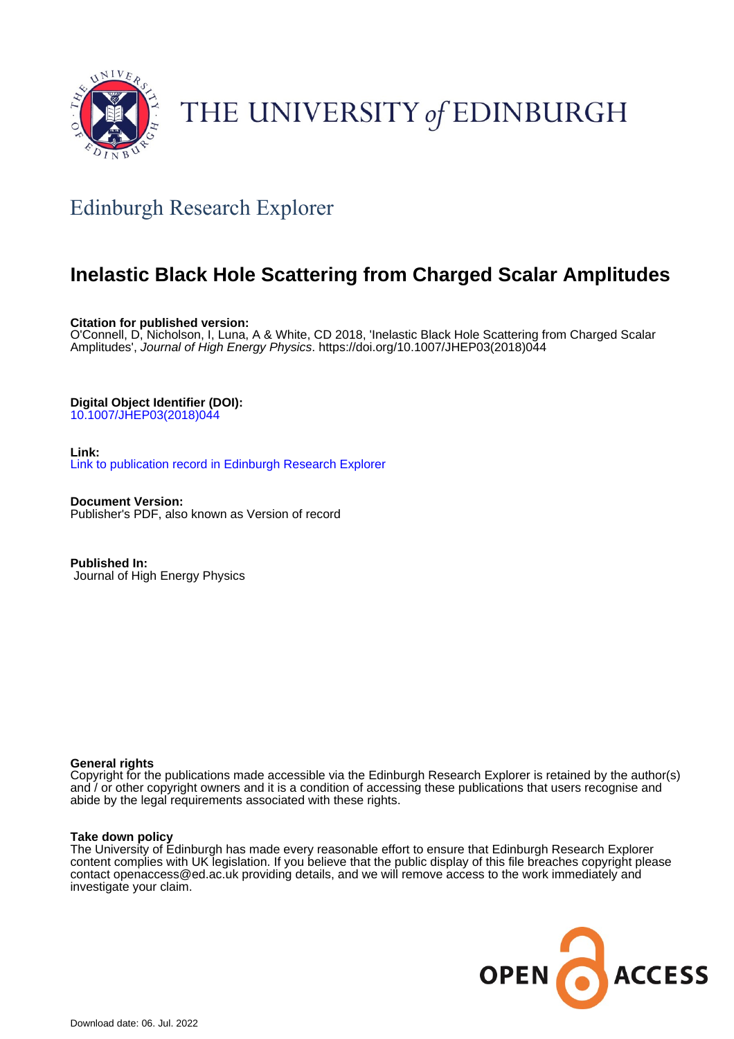

# THE UNIVERSITY of EDINBURGH

# Edinburgh Research Explorer

# **Inelastic Black Hole Scattering from Charged Scalar Amplitudes**

**Citation for published version:**

O'Connell, D, Nicholson, I, Luna, A & White, CD 2018, 'Inelastic Black Hole Scattering from Charged Scalar Amplitudes', Journal of High Energy Physics. [https://doi.org/10.1007/JHEP03\(2018\)044](https://doi.org/10.1007/JHEP03(2018)044)

**Digital Object Identifier (DOI):**

[10.1007/JHEP03\(2018\)044](https://doi.org/10.1007/JHEP03(2018)044)

**Link:** [Link to publication record in Edinburgh Research Explorer](https://www.research.ed.ac.uk/en/publications/521d0e20-9f16-4daf-b520-913f4203911f)

**Document Version:** Publisher's PDF, also known as Version of record

**Published In:** Journal of High Energy Physics

# **General rights**

Copyright for the publications made accessible via the Edinburgh Research Explorer is retained by the author(s) and / or other copyright owners and it is a condition of accessing these publications that users recognise and abide by the legal requirements associated with these rights.

# **Take down policy**

The University of Edinburgh has made every reasonable effort to ensure that Edinburgh Research Explorer content complies with UK legislation. If you believe that the public display of this file breaches copyright please contact openaccess@ed.ac.uk providing details, and we will remove access to the work immediately and investigate your claim.

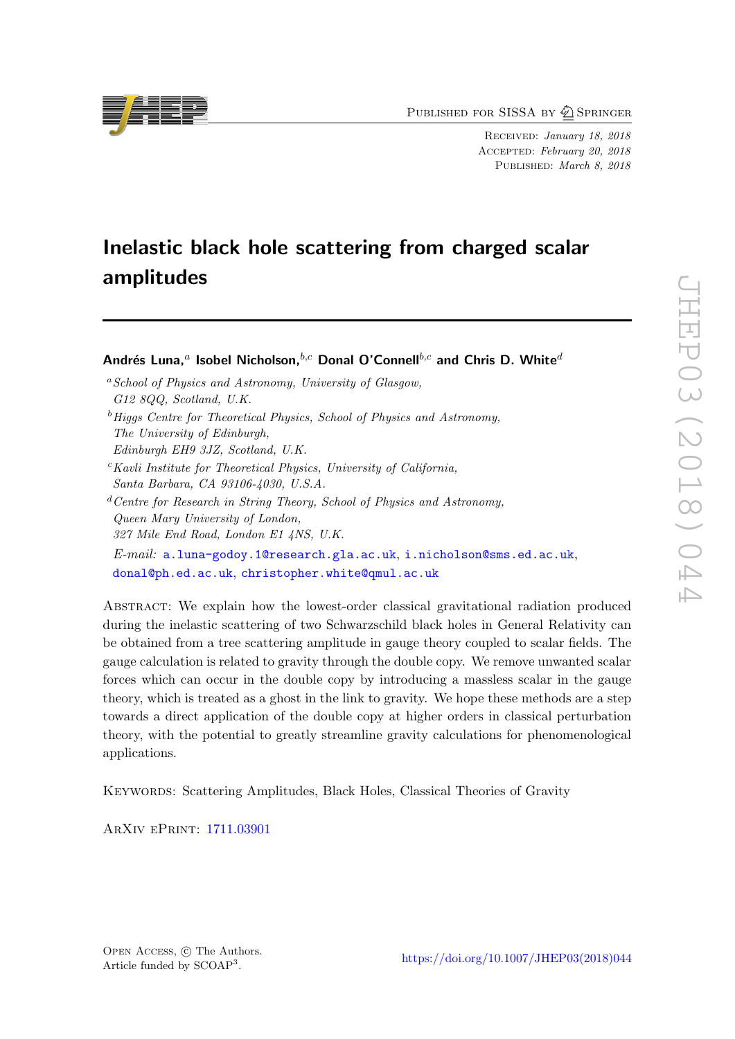PUBLISHED FOR SISSA BY 2 SPRINGER

Received: January 18, 2018 Accepted: February 20, 2018 PUBLISHED: March 8, 2018

# Inelastic black hole scattering from charged scalar amplitudes

Andrés Luna, ${}^a$  Isobel Nicholson, ${}^{b,c}$  Donal O'Connell ${}^{b,c}$  and Chris D. White ${}^d$  ${}^a$  School of Physics and Astronomy, University of Glasgow, G12 8QQ, Scotland, U.K.  $^{b}$  Higgs Centre for Theoretical Physics, School of Physics and Astronomy, The University of Edinburgh, Edinburgh EH9 3JZ, Scotland, U.K.  ${}^{c}$ Kavli Institute for Theoretical Physics, University of California, Santa Barbara, CA 93106-4030, U.S.A.  ${}^d$ Centre for Research in String Theory, School of Physics and Astronomy, Queen Mary University of London, 327 Mile End Road, London E1 4NS, U.K. E-mail: [a.luna-godoy.1@research.gla.ac.uk](mailto:a.luna-godoy.1@research.gla.ac.uk), [i.nicholson@sms.ed.ac.uk](mailto:i.nicholson@sms.ed.ac.uk), [donal@ph.ed.ac.uk](mailto:donal@ph.ed.ac.uk), [christopher.white@qmul.ac.uk](mailto:christopher.white@qmul.ac.uk)

Abstract: We explain how the lowest-order classical gravitational radiation produced during the inelastic scattering of two Schwarzschild black holes in General Relativity can be obtained from a tree scattering amplitude in gauge theory coupled to scalar fields. The gauge calculation is related to gravity through the double copy. We remove unwanted scalar forces which can occur in the double copy by introducing a massless scalar in the gauge theory, which is treated as a ghost in the link to gravity. We hope these methods are a step towards a direct application of the double copy at higher orders in classical perturbation theory, with the potential to greatly streamline gravity calculations for phenomenological applications.

Keywords: Scattering Amplitudes, Black Holes, Classical Theories of Gravity

ArXiv ePrint: [1711.03901](https://arxiv.org/abs/1711.03901)

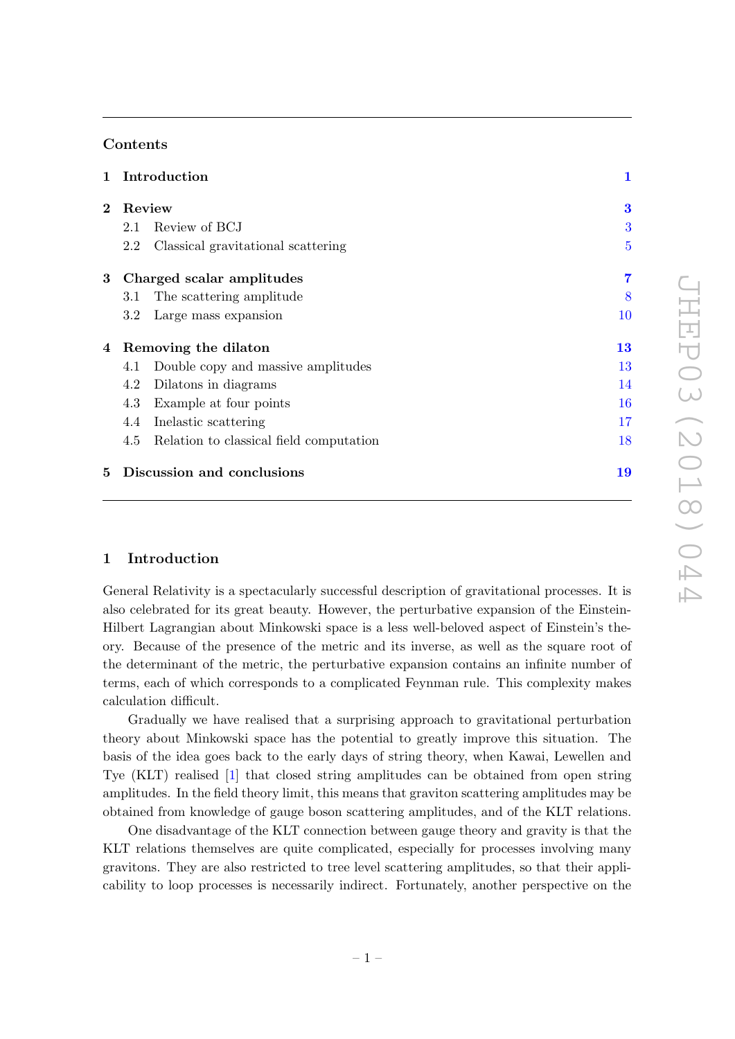# Contents

| $\mathbf{1}$ | Introduction                 | $\mathbf{1}$                            |                |
|--------------|------------------------------|-----------------------------------------|----------------|
| $\bf{2}$     | Review                       |                                         | 3              |
|              | 2.1                          | Review of BCJ                           | 3              |
|              | 2.2                          | Classical gravitational scattering      | $\overline{5}$ |
| 3            | Charged scalar amplitudes    |                                         | 7              |
|              | 3.1                          | The scattering amplitude                | 8              |
|              | $3.2\,$                      | Large mass expansion                    | $10\,$         |
| 4            | Removing the dilaton         |                                         | 13             |
|              | 4.1                          | Double copy and massive amplitudes      | 13             |
|              | 4.2                          | Dilatons in diagrams                    | 14             |
|              | 4.3                          | Example at four points                  | 16             |
|              | 4.4                          | Inelastic scattering                    | 17             |
|              | 4.5                          | Relation to classical field computation | 18             |
|              | 5 Discussion and conclusions |                                         |                |

# <span id="page-2-0"></span>1 Introduction

General Relativity is a spectacularly successful description of gravitational processes. It is also celebrated for its great beauty. However, the perturbative expansion of the Einstein-Hilbert Lagrangian about Minkowski space is a less well-beloved aspect of Einstein's theory. Because of the presence of the metric and its inverse, as well as the square root of the determinant of the metric, the perturbative expansion contains an infinite number of terms, each of which corresponds to a complicated Feynman rule. This complexity makes calculation difficult.

Gradually we have realised that a surprising approach to gravitational perturbation theory about Minkowski space has the potential to greatly improve this situation. The basis of the idea goes back to the early days of string theory, when Kawai, Lewellen and Tye (KLT) realised [\[1\]](#page-22-0) that closed string amplitudes can be obtained from open string amplitudes. In the field theory limit, this means that graviton scattering amplitudes may be obtained from knowledge of gauge boson scattering amplitudes, and of the KLT relations.

One disadvantage of the KLT connection between gauge theory and gravity is that the KLT relations themselves are quite complicated, especially for processes involving many gravitons. They are also restricted to tree level scattering amplitudes, so that their applicability to loop processes is necessarily indirect. Fortunately, another perspective on the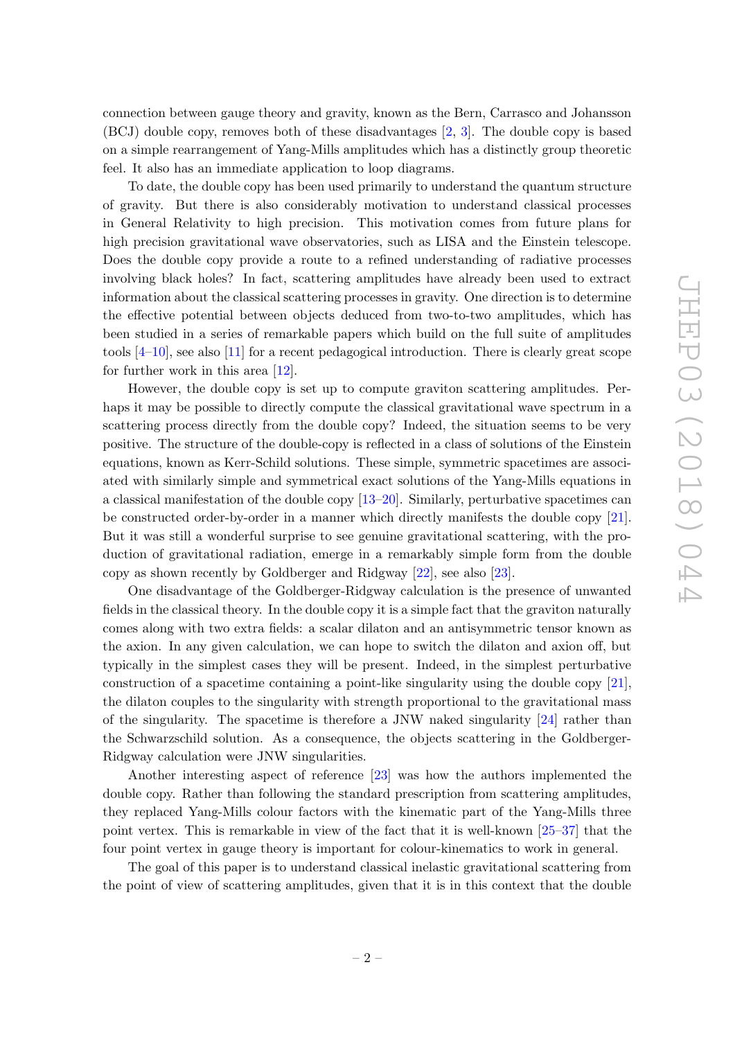connection between gauge theory and gravity, known as the Bern, Carrasco and Johansson (BCJ) double copy, removes both of these disadvantages [\[2,](#page-22-1) [3\]](#page-22-2). The double copy is based on a simple rearrangement of Yang-Mills amplitudes which has a distinctly group theoretic feel. It also has an immediate application to loop diagrams.

To date, the double copy has been used primarily to understand the quantum structure of gravity. But there is also considerably motivation to understand classical processes in General Relativity to high precision. This motivation comes from future plans for high precision gravitational wave observatories, such as LISA and the Einstein telescope. Does the double copy provide a route to a refined understanding of radiative processes involving black holes? In fact, scattering amplitudes have already been used to extract information about the classical scattering processes in gravity. One direction is to determine the effective potential between objects deduced from two-to-two amplitudes, which has been studied in a series of remarkable papers which build on the full suite of amplitudes tools  $[4-10]$  $[4-10]$ , see also  $[11]$  for a recent pedagogical introduction. There is clearly great scope for further work in this area [\[12\]](#page-23-1).

However, the double copy is set up to compute graviton scattering amplitudes. Perhaps it may be possible to directly compute the classical gravitational wave spectrum in a scattering process directly from the double copy? Indeed, the situation seems to be very positive. The structure of the double-copy is reflected in a class of solutions of the Einstein equations, known as Kerr-Schild solutions. These simple, symmetric spacetimes are associated with similarly simple and symmetrical exact solutions of the Yang-Mills equations in a classical manifestation of the double copy [\[13–](#page-23-2)[20\]](#page-23-3). Similarly, perturbative spacetimes can be constructed order-by-order in a manner which directly manifests the double copy [\[21\]](#page-23-4). But it was still a wonderful surprise to see genuine gravitational scattering, with the production of gravitational radiation, emerge in a remarkably simple form from the double copy as shown recently by Goldberger and Ridgway [\[22\]](#page-23-5), see also [\[23\]](#page-23-6).

One disadvantage of the Goldberger-Ridgway calculation is the presence of unwanted fields in the classical theory. In the double copy it is a simple fact that the graviton naturally comes along with two extra fields: a scalar dilaton and an antisymmetric tensor known as the axion. In any given calculation, we can hope to switch the dilaton and axion off, but typically in the simplest cases they will be present. Indeed, in the simplest perturbative construction of a spacetime containing a point-like singularity using the double copy [\[21\]](#page-23-4), the dilaton couples to the singularity with strength proportional to the gravitational mass of the singularity. The spacetime is therefore a JNW naked singularity [\[24\]](#page-23-7) rather than the Schwarzschild solution. As a consequence, the objects scattering in the Goldberger-Ridgway calculation were JNW singularities.

Another interesting aspect of reference [\[23\]](#page-23-6) was how the authors implemented the double copy. Rather than following the standard prescription from scattering amplitudes, they replaced Yang-Mills colour factors with the kinematic part of the Yang-Mills three point vertex. This is remarkable in view of the fact that it is well-known [\[25](#page-23-8)[–37\]](#page-24-0) that the four point vertex in gauge theory is important for colour-kinematics to work in general.

The goal of this paper is to understand classical inelastic gravitational scattering from the point of view of scattering amplitudes, given that it is in this context that the double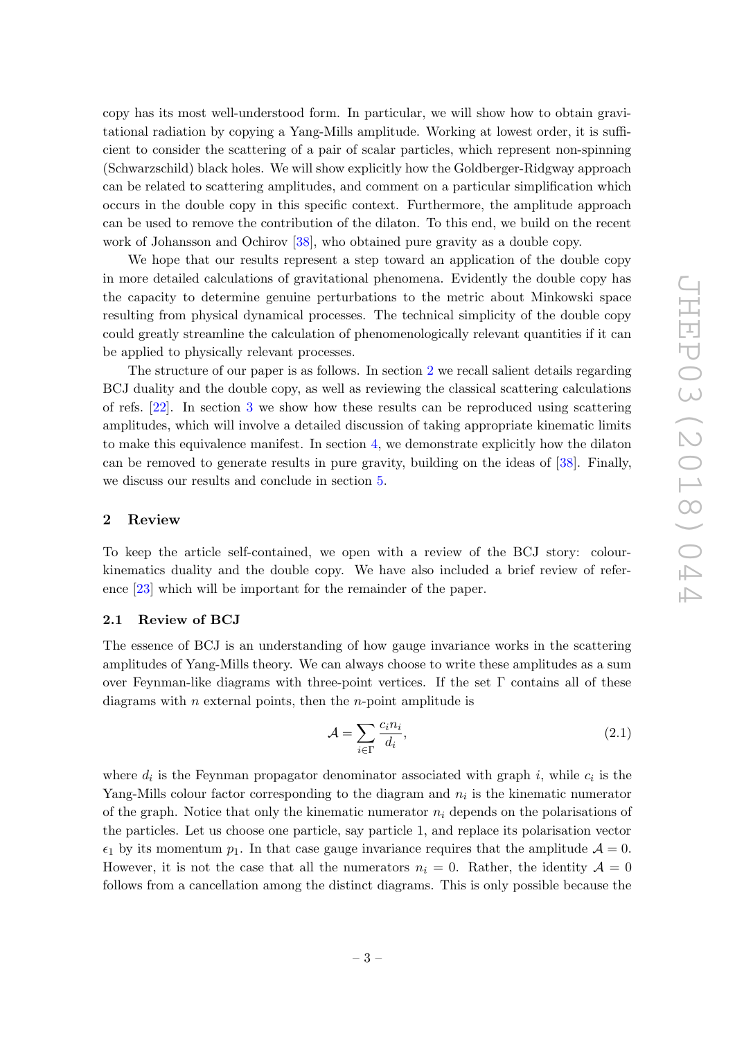copy has its most well-understood form. In particular, we will show how to obtain gravitational radiation by copying a Yang-Mills amplitude. Working at lowest order, it is sufficient to consider the scattering of a pair of scalar particles, which represent non-spinning (Schwarzschild) black holes. We will show explicitly how the Goldberger-Ridgway approach can be related to scattering amplitudes, and comment on a particular simplification which occurs in the double copy in this specific context. Furthermore, the amplitude approach can be used to remove the contribution of the dilaton. To this end, we build on the recent work of Johansson and Ochirov [\[38\]](#page-24-1), who obtained pure gravity as a double copy.

We hope that our results represent a step toward an application of the double copy in more detailed calculations of gravitational phenomena. Evidently the double copy has the capacity to determine genuine perturbations to the metric about Minkowski space resulting from physical dynamical processes. The technical simplicity of the double copy could greatly streamline the calculation of phenomenologically relevant quantities if it can be applied to physically relevant processes.

The structure of our paper is as follows. In section [2](#page-4-0) we recall salient details regarding BCJ duality and the double copy, as well as reviewing the classical scattering calculations of refs. [\[22\]](#page-23-5). In section [3](#page-8-0) we show how these results can be reproduced using scattering amplitudes, which will involve a detailed discussion of taking appropriate kinematic limits to make this equivalence manifest. In section [4,](#page-14-0) we demonstrate explicitly how the dilaton can be removed to generate results in pure gravity, building on the ideas of [\[38\]](#page-24-1). Finally, we discuss our results and conclude in section [5.](#page-20-0)

# <span id="page-4-0"></span>2 Review

To keep the article self-contained, we open with a review of the BCJ story: colourkinematics duality and the double copy. We have also included a brief review of reference [\[23\]](#page-23-6) which will be important for the remainder of the paper.

## <span id="page-4-1"></span>2.1 Review of BCJ

The essence of BCJ is an understanding of how gauge invariance works in the scattering amplitudes of Yang-Mills theory. We can always choose to write these amplitudes as a sum over Feynman-like diagrams with three-point vertices. If the set Γ contains all of these diagrams with  $n$  external points, then the  $n$ -point amplitude is

<span id="page-4-2"></span>
$$
\mathcal{A} = \sum_{i \in \Gamma} \frac{c_i n_i}{d_i},\tag{2.1}
$$

where  $d_i$  is the Feynman propagator denominator associated with graph i, while  $c_i$  is the Yang-Mills colour factor corresponding to the diagram and  $n_i$  is the kinematic numerator of the graph. Notice that only the kinematic numerator  $n_i$  depends on the polarisations of the particles. Let us choose one particle, say particle 1, and replace its polarisation vector  $\epsilon_1$  by its momentum  $p_1$ . In that case gauge invariance requires that the amplitude  $\mathcal{A} = 0$ . However, it is not the case that all the numerators  $n_i = 0$ . Rather, the identity  $\mathcal{A} = 0$ follows from a cancellation among the distinct diagrams. This is only possible because the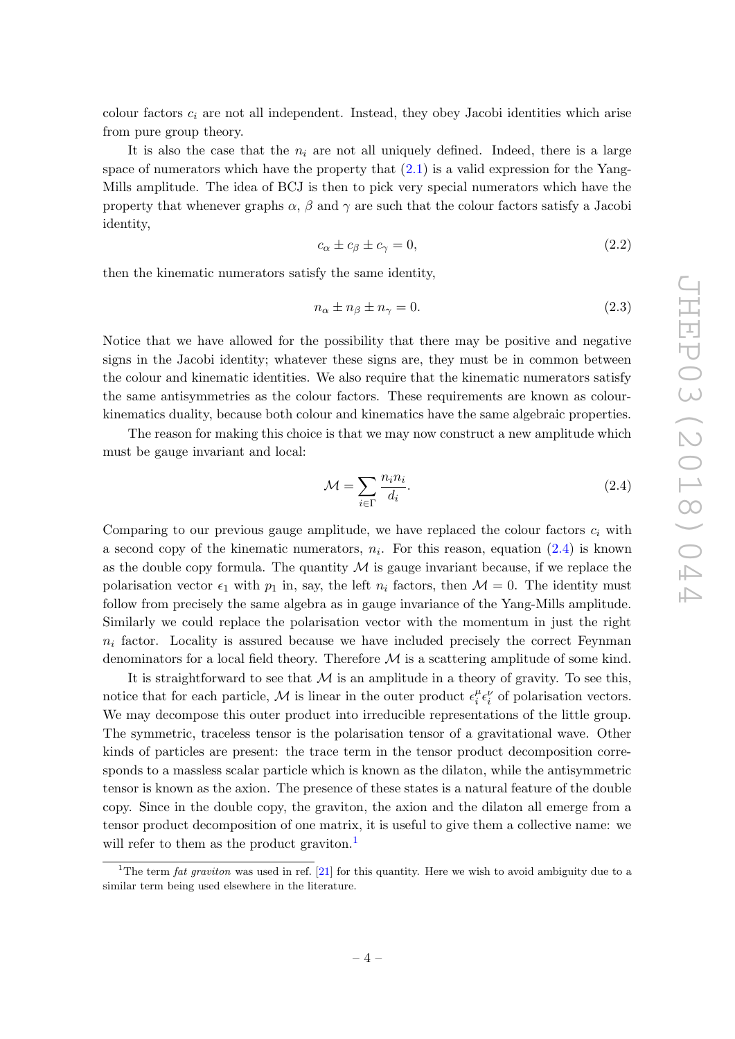colour factors  $c_i$  are not all independent. Instead, they obey Jacobi identities which arise from pure group theory.

It is also the case that the  $n_i$  are not all uniquely defined. Indeed, there is a large space of numerators which have the property that  $(2.1)$  is a valid expression for the Yang-Mills amplitude. The idea of BCJ is then to pick very special numerators which have the property that whenever graphs  $\alpha$ ,  $\beta$  and  $\gamma$  are such that the colour factors satisfy a Jacobi identity,

$$
c_{\alpha} \pm c_{\beta} \pm c_{\gamma} = 0, \tag{2.2}
$$

then the kinematic numerators satisfy the same identity,

$$
n_{\alpha} \pm n_{\beta} \pm n_{\gamma} = 0. \tag{2.3}
$$

Notice that we have allowed for the possibility that there may be positive and negative signs in the Jacobi identity; whatever these signs are, they must be in common between the colour and kinematic identities. We also require that the kinematic numerators satisfy the same antisymmetries as the colour factors. These requirements are known as colourkinematics duality, because both colour and kinematics have the same algebraic properties.

The reason for making this choice is that we may now construct a new amplitude which must be gauge invariant and local:

<span id="page-5-0"></span>
$$
\mathcal{M} = \sum_{i \in \Gamma} \frac{n_i n_i}{d_i}.
$$
\n(2.4)

Comparing to our previous gauge amplitude, we have replaced the colour factors  $c_i$  with a second copy of the kinematic numerators,  $n_i$ . For this reason, equation  $(2.4)$  is known as the double copy formula. The quantity  $\mathcal M$  is gauge invariant because, if we replace the polarisation vector  $\epsilon_1$  with  $p_1$  in, say, the left  $n_i$  factors, then  $\mathcal{M} = 0$ . The identity must follow from precisely the same algebra as in gauge invariance of the Yang-Mills amplitude. Similarly we could replace the polarisation vector with the momentum in just the right  $n_i$  factor. Locality is assured because we have included precisely the correct Feynman denominators for a local field theory. Therefore  $\mathcal M$  is a scattering amplitude of some kind.

It is straightforward to see that  $M$  is an amplitude in a theory of gravity. To see this, notice that for each particle,  $\mathcal M$  is linear in the outer product  $\epsilon_i^{\mu}$  $i \in \mathcal{C}$  of polarisation vectors. We may decompose this outer product into irreducible representations of the little group. The symmetric, traceless tensor is the polarisation tensor of a gravitational wave. Other kinds of particles are present: the trace term in the tensor product decomposition corresponds to a massless scalar particle which is known as the dilaton, while the antisymmetric tensor is known as the axion. The presence of these states is a natural feature of the double copy. Since in the double copy, the graviton, the axion and the dilaton all emerge from a tensor product decomposition of one matrix, it is useful to give them a collective name: we will refer to them as the product graviton.<sup>[1](#page-5-1)</sup>

<span id="page-5-1"></span><sup>&</sup>lt;sup>1</sup>The term *fat graviton* was used in ref. [\[21\]](#page-23-4) for this quantity. Here we wish to avoid ambiguity due to a similar term being used elsewhere in the literature.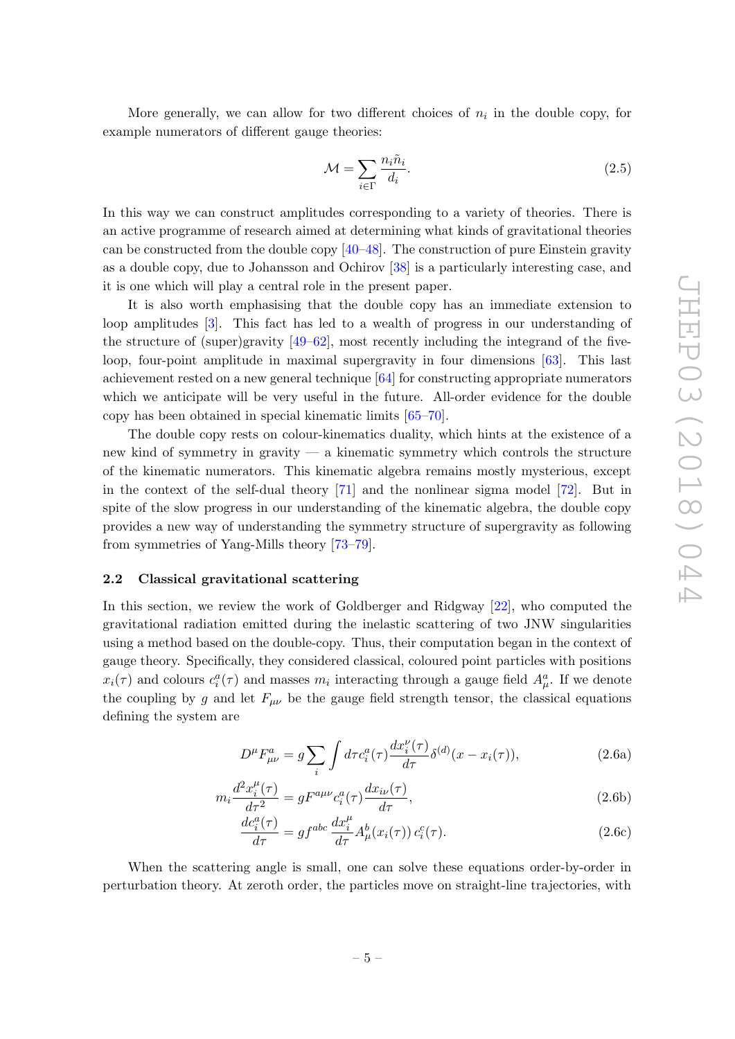More generally, we can allow for two different choices of  $n_i$  in the double copy, for example numerators of different gauge theories:

$$
\mathcal{M} = \sum_{i \in \Gamma} \frac{n_i \tilde{n}_i}{d_i}.
$$
\n(2.5)

In this way we can construct amplitudes corresponding to a variety of theories. There is an active programme of research aimed at determining what kinds of gravitational theories can be constructed from the double copy  $[40-48]$  $[40-48]$ . The construction of pure Einstein gravity as a double copy, due to Johansson and Ochirov [\[38\]](#page-24-1) is a particularly interesting case, and it is one which will play a central role in the present paper.

It is also worth emphasising that the double copy has an immediate extension to loop amplitudes [\[3\]](#page-22-2). This fact has led to a wealth of progress in our understanding of the structure of (super)gravity  $[49–62]$  $[49–62]$ , most recently including the integrand of the fiveloop, four-point amplitude in maximal supergravity in four dimensions [\[63\]](#page-25-3). This last achievement rested on a new general technique [\[64\]](#page-26-0) for constructing appropriate numerators which we anticipate will be very useful in the future. All-order evidence for the double copy has been obtained in special kinematic limits [\[65](#page-26-1)[–70\]](#page-26-2).

The double copy rests on colour-kinematics duality, which hints at the existence of a new kind of symmetry in gravity  $-$  a kinematic symmetry which controls the structure of the kinematic numerators. This kinematic algebra remains mostly mysterious, except in the context of the self-dual theory [\[71\]](#page-26-3) and the nonlinear sigma model [\[72\]](#page-26-4). But in spite of the slow progress in our understanding of the kinematic algebra, the double copy provides a new way of understanding the symmetry structure of supergravity as following from symmetries of Yang-Mills theory [\[73–](#page-26-5)[79\]](#page-26-6).

#### <span id="page-6-0"></span>2.2 Classical gravitational scattering

In this section, we review the work of Goldberger and Ridgway [\[22\]](#page-23-5), who computed the gravitational radiation emitted during the inelastic scattering of two JNW singularities using a method based on the double-copy. Thus, their computation began in the context of gauge theory. Specifically, they considered classical, coloured point particles with positions  $x_i(\tau)$  and colours  $c_i^a(\tau)$  and masses  $m_i$  interacting through a gauge field  $A^a_\mu$ . If we denote the coupling by g and let  $F_{\mu\nu}$  be the gauge field strength tensor, the classical equations defining the system are

<span id="page-6-1"></span>
$$
D^{\mu}F^{a}_{\mu\nu} = g \sum_{i} \int d\tau c_i^a(\tau) \frac{dx_i^{\nu}(\tau)}{d\tau} \delta^{(d)}(x - x_i(\tau)), \qquad (2.6a)
$$

$$
m_i \frac{d^2 x_i^{\mu}(\tau)}{d\tau^2} = g F^{a\mu\nu} c_i^a(\tau) \frac{dx_{i\nu}(\tau)}{d\tau},
$$
\n(2.6b)

$$
\frac{dc_i^a(\tau)}{d\tau} = gf^{abc} \frac{dx_i^{\mu}}{d\tau} A_{\mu}^b(x_i(\tau)) c_i^c(\tau). \tag{2.6c}
$$

When the scattering angle is small, one can solve these equations order-by-order in perturbation theory. At zeroth order, the particles move on straight-line trajectories, with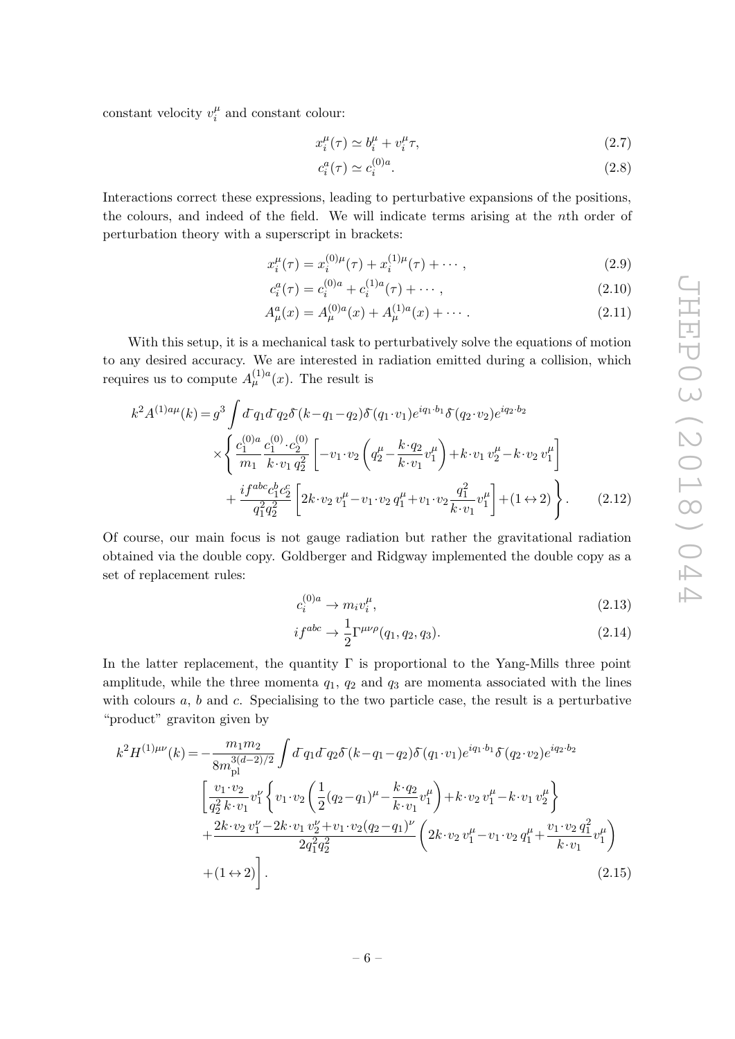constant velocity  $v_i^{\mu}$  $i^{\mu}$  and constant colour:

$$
x_i^{\mu}(\tau) \simeq b_i^{\mu} + v_i^{\mu} \tau,
$$
\n(2.7)

$$
c_i^a(\tau) \simeq c_i^{(0)a}.\tag{2.8}
$$

Interactions correct these expressions, leading to perturbative expansions of the positions, the colours, and indeed of the field. We will indicate terms arising at the nth order of perturbation theory with a superscript in brackets:

$$
x_i^{\mu}(\tau) = x_i^{(0)\mu}(\tau) + x_i^{(1)\mu}(\tau) + \cdots,
$$
\n(2.9)

$$
c_i^a(\tau) = c_i^{(0)a} + c_i^{(1)a}(\tau) + \cdots, \qquad (2.10)
$$

$$
A_{\mu}^{a}(x) = A_{\mu}^{(0)a}(x) + A_{\mu}^{(1)a}(x) + \cdots
$$
 (2.11)

With this setup, it is a mechanical task to perturbatively solve the equations of motion to any desired accuracy. We are interested in radiation emitted during a collision, which requires us to compute  $A_{\mu}^{(1)a}(x)$ . The result is

$$
k^{2} A^{(1)a\mu}(k) = g^{3} \int d\tau q_{1} d\tau q_{2} \delta(k - q_{1} - q_{2}) \delta(q_{1} \cdot v_{1}) e^{iq_{1} \cdot b_{1}} \delta(q_{2} \cdot v_{2}) e^{iq_{2} \cdot b_{2}}
$$
  

$$
\times \left\{ \frac{c_{1}^{(0)a} c_{1}^{(0)} \cdot c_{2}^{(0)}}{m_{1}} \left[ -v_{1} \cdot v_{2} \left( q_{2}^{\mu} - \frac{k \cdot q_{2}}{k \cdot v_{1}} v_{1}^{\mu} \right) + k \cdot v_{1} v_{2}^{\mu} - k \cdot v_{2} v_{1}^{\mu} \right] + \frac{i f^{abc} c_{1}^{b} c_{2}^{c}}{q_{1}^{2} q_{2}^{2}} \left[ 2k \cdot v_{2} v_{1}^{\mu} - v_{1} \cdot v_{2} q_{1}^{\mu} + v_{1} \cdot v_{2} \frac{q_{1}^{2}}{k \cdot v_{1}} v_{1}^{\mu} \right] + (1 \leftrightarrow 2) \right\}.
$$
 (2.12)

Of course, our main focus is not gauge radiation but rather the gravitational radiation obtained via the double copy. Goldberger and Ridgway implemented the double copy as a set of replacement rules:

<span id="page-7-1"></span><span id="page-7-0"></span>
$$
c_i^{(0)a} \to m_i v_i^{\mu},\tag{2.13}
$$

$$
if^{abc} \to \frac{1}{2} \Gamma^{\mu\nu\rho}(q_1, q_2, q_3). \tag{2.14}
$$

In the latter replacement, the quantity  $\Gamma$  is proportional to the Yang-Mills three point amplitude, while the three momenta  $q_1$ ,  $q_2$  and  $q_3$  are momenta associated with the lines with colours  $a, b$  and  $c$ . Specialising to the two particle case, the result is a perturbative "product" graviton given by

$$
k^{2}H^{(1)\mu\nu}(k) = -\frac{m_{1}m_{2}}{8m_{\text{pl}}^{3(d-2)/2}} \int d\tau q_{1}d\tau q_{2}\delta(k-q_{1}-q_{2})\delta(q_{1}\cdot v_{1})e^{iq_{1}\cdot b_{1}}\delta(q_{2}\cdot v_{2})e^{iq_{2}\cdot b_{2}}
$$

$$
\left[\frac{v_{1}\cdot v_{2}}{q_{2}^{2}k\cdot v_{1}}v_{1}^{\nu}\left\{v_{1}\cdot v_{2}\left(\frac{1}{2}(q_{2}-q_{1})^{\mu}-\frac{k\cdot q_{2}}{k\cdot v_{1}}v_{1}^{\mu}\right)+k\cdot v_{2}\cdot v_{1}^{\mu}-k\cdot v_{1}\cdot v_{2}^{\mu}\right\}\right] +\frac{2k\cdot v_{2}\cdot v_{1}^{\nu}-2k\cdot v_{1}\cdot v_{2}^{\nu}+v_{1}\cdot v_{2}(q_{2}-q_{1})^{\nu}}{2q_{1}^{2}q_{2}^{2}}\left(2k\cdot v_{2}\cdot v_{1}^{\mu}-v_{1}\cdot v_{2}\cdot q_{1}^{\mu}+\frac{v_{1}\cdot v_{2}\cdot q_{1}^{2}}{k\cdot v_{1}}v_{1}^{\mu}\right) + (1 \leftrightarrow 2)\right].
$$
\n(2.15)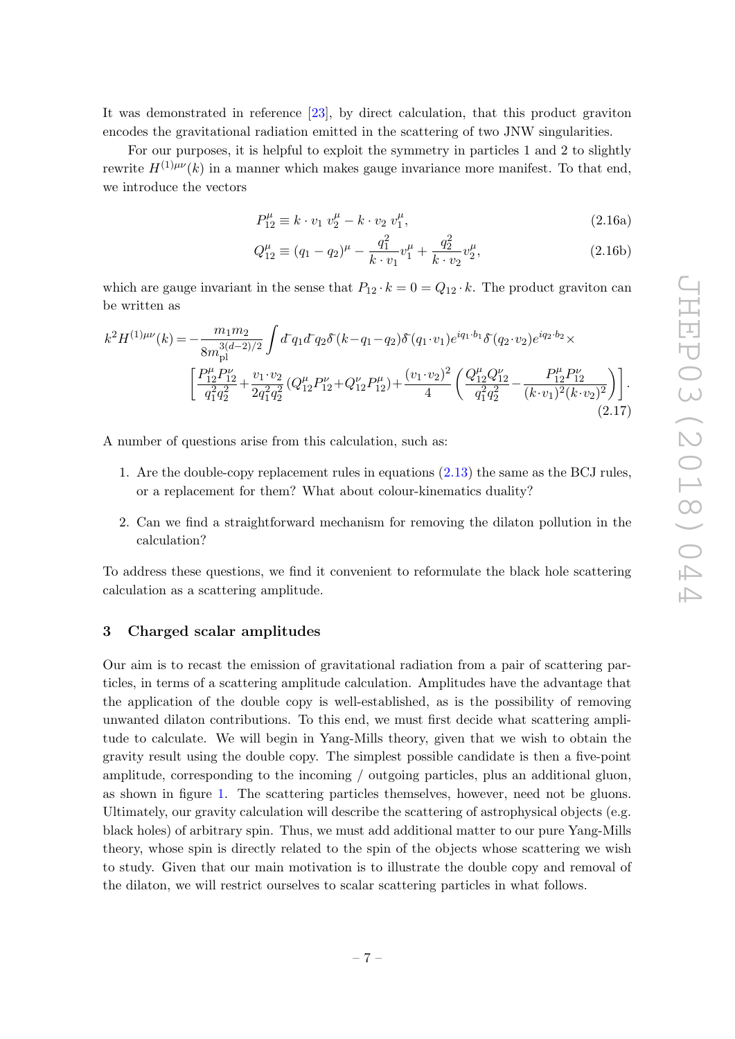It was demonstrated in reference [\[23\]](#page-23-6), by direct calculation, that this product graviton encodes the gravitational radiation emitted in the scattering of two JNW singularities.

For our purposes, it is helpful to exploit the symmetry in particles 1 and 2 to slightly rewrite  $H^{(1)\mu\nu}(k)$  in a manner which makes gauge invariance more manifest. To that end, we introduce the vectors

<span id="page-8-1"></span>
$$
P_{12}^{\mu} \equiv k \cdot v_1 \ v_2^{\mu} - k \cdot v_2 \ v_1^{\mu}, \tag{2.16a}
$$

<span id="page-8-2"></span>
$$
Q_{12}^{\mu} \equiv (q_1 - q_2)^{\mu} - \frac{q_1^2}{k \cdot v_1} v_1^{\mu} + \frac{q_2^2}{k \cdot v_2} v_2^{\mu}, \qquad (2.16b)
$$

which are gauge invariant in the sense that  $P_{12} \cdot k = 0 = Q_{12} \cdot k$ . The product graviton can be written as

$$
k^{2}H^{(1)\mu\nu}(k) = -\frac{m_{1}m_{2}}{8m_{\text{pl}}^{3(d-2)/2}} \int d\tau q_{1}d\tau q_{2} \delta(k-q_{1}-q_{2})\delta(q_{1}\cdot v_{1})e^{iq_{1}\cdot b_{1}}\delta(q_{2}\cdot v_{2})e^{iq_{2}\cdot b_{2}} \times \left[\frac{P_{12}^{\mu}P_{12}^{\nu}}{q_{1}^{2}q_{2}^{2}} + \frac{v_{1}\cdot v_{2}}{2q_{1}^{2}q_{2}^{2}}\left(Q_{12}^{\mu}P_{12}^{\nu} + Q_{12}^{\nu}P_{12}^{\mu}\right) + \frac{(v_{1}\cdot v_{2})^{2}}{4}\left(\frac{Q_{12}^{\mu}Q_{12}^{\nu}}{q_{1}^{2}q_{2}^{2}} - \frac{P_{12}^{\mu}P_{12}^{\nu}}{(k\cdot v_{1})^{2}(k\cdot v_{2})^{2}}\right)\right].
$$
\n(2.17)

A number of questions arise from this calculation, such as:

- 1. Are the double-copy replacement rules in equations [\(2.13\)](#page-7-0) the same as the BCJ rules, or a replacement for them? What about colour-kinematics duality?
- 2. Can we find a straightforward mechanism for removing the dilaton pollution in the calculation?

To address these questions, we find it convenient to reformulate the black hole scattering calculation as a scattering amplitude.

#### <span id="page-8-0"></span>3 Charged scalar amplitudes

Our aim is to recast the emission of gravitational radiation from a pair of scattering particles, in terms of a scattering amplitude calculation. Amplitudes have the advantage that the application of the double copy is well-established, as is the possibility of removing unwanted dilaton contributions. To this end, we must first decide what scattering amplitude to calculate. We will begin in Yang-Mills theory, given that we wish to obtain the gravity result using the double copy. The simplest possible candidate is then a five-point amplitude, corresponding to the incoming / outgoing particles, plus an additional gluon, as shown in figure [1.](#page-9-1) The scattering particles themselves, however, need not be gluons. Ultimately, our gravity calculation will describe the scattering of astrophysical objects (e.g. black holes) of arbitrary spin. Thus, we must add additional matter to our pure Yang-Mills theory, whose spin is directly related to the spin of the objects whose scattering we wish to study. Given that our main motivation is to illustrate the double copy and removal of the dilaton, we will restrict ourselves to scalar scattering particles in what follows.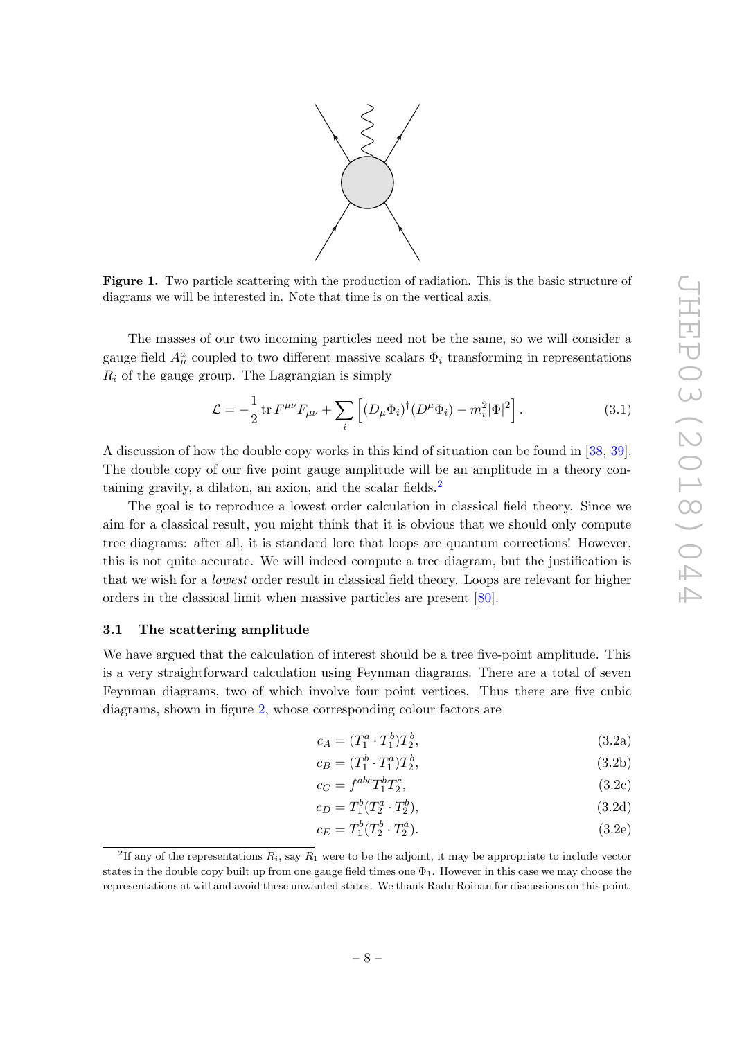

<span id="page-9-1"></span>Figure 1. Two particle scattering with the production of radiation. This is the basic structure of diagrams we will be interested in. Note that time is on the vertical axis.

The masses of our two incoming particles need not be the same, so we will consider a gauge field  $A^a_\mu$  coupled to two different massive scalars  $\Phi_i$  transforming in representations  $R_i$  of the gauge group. The Lagrangian is simply

$$
\mathcal{L} = -\frac{1}{2} \operatorname{tr} F^{\mu\nu} F_{\mu\nu} + \sum_{i} \left[ (D_{\mu} \Phi_{i})^{\dagger} (D^{\mu} \Phi_{i}) - m_{i}^{2} |\Phi|^{2} \right]. \tag{3.1}
$$

A discussion of how the double copy works in this kind of situation can be found in [\[38,](#page-24-1) [39\]](#page-24-3). The double copy of our five point gauge amplitude will be an amplitude in a theory con-taining gravity, a dilaton, an axion, and the scalar fields.<sup>[2](#page-9-2)</sup>

The goal is to reproduce a lowest order calculation in classical field theory. Since we aim for a classical result, you might think that it is obvious that we should only compute tree diagrams: after all, it is standard lore that loops are quantum corrections! However, this is not quite accurate. We will indeed compute a tree diagram, but the justification is that we wish for a *lowest* order result in classical field theory. Loops are relevant for higher orders in the classical limit when massive particles are present [\[80\]](#page-26-7).

#### <span id="page-9-0"></span>3.1 The scattering amplitude

We have argued that the calculation of interest should be a tree five-point amplitude. This is a very straightforward calculation using Feynman diagrams. There are a total of seven Feynman diagrams, two of which involve four point vertices. Thus there are five cubic diagrams, shown in figure [2,](#page-10-0) whose corresponding colour factors are

$$
c_A = (T_1^a \cdot T_1^b) T_2^b, \tag{3.2a}
$$

$$
c_B = (T_1^b \cdot T_1^a) T_2^b, \tag{3.2b}
$$

$$
c_C = f^{abc} T_1^b T_2^c,\tag{3.2c}
$$

$$
c_D = T_1^b (T_2^a \cdot T_2^b), \tag{3.2d}
$$

$$
c_E = T_1^b (T_2^b \cdot T_2^a). \tag{3.2e}
$$

<span id="page-9-2"></span><sup>&</sup>lt;sup>2</sup>If any of the representations  $R_i$ , say  $R_1$  were to be the adjoint, it may be appropriate to include vector states in the double copy built up from one gauge field times one  $\Phi_1$ . However in this case we may choose the representations at will and avoid these unwanted states. We thank Radu Roiban for discussions on this point.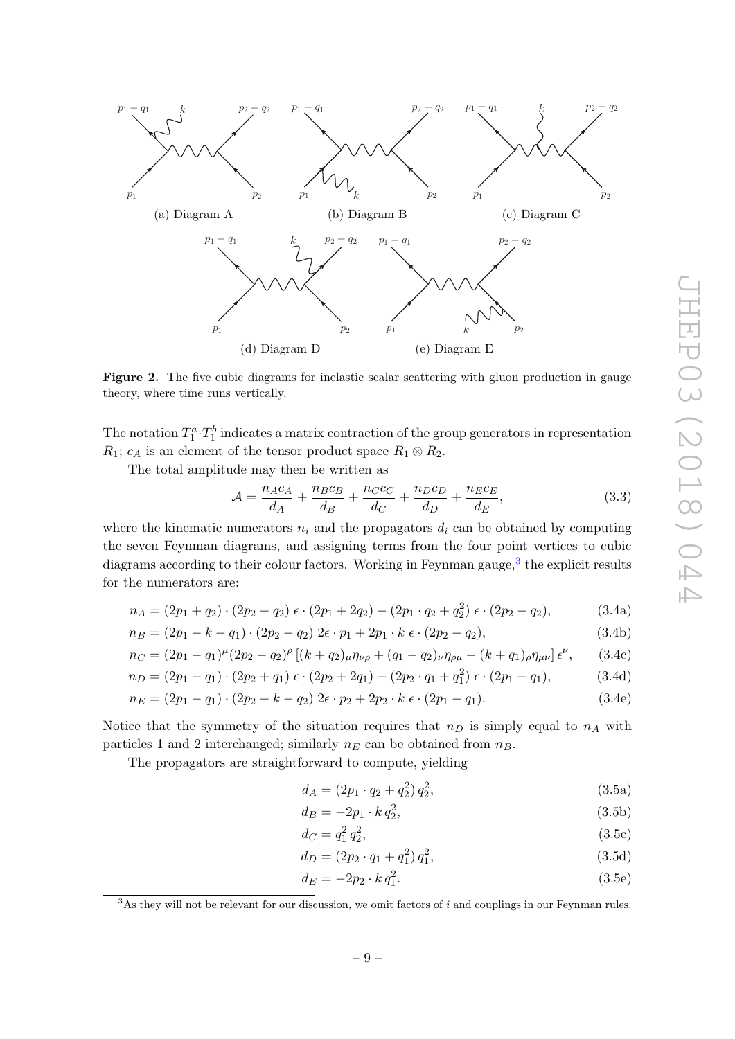<span id="page-10-0"></span>

Figure 2. The five cubic diagrams for inelastic scalar scattering with gluon production in gauge theory, where time runs vertically.

The notation  $T_1^a \cdot T_1^b$  indicates a matrix contraction of the group generators in representation R<sub>1</sub>; c<sub>A</sub> is an element of the tensor product space  $R_1 \otimes R_2$ .

The total amplitude may then be written as

<span id="page-10-2"></span>
$$
\mathcal{A} = \frac{n_A c_A}{d_A} + \frac{n_B c_B}{d_B} + \frac{n_C c_C}{d_C} + \frac{n_D c_D}{d_D} + \frac{n_E c_E}{d_E},\tag{3.3}
$$

where the kinematic numerators  $n_i$  and the propagators  $d_i$  can be obtained by computing the seven Feynman diagrams, and assigning terms from the four point vertices to cubic diagrams according to their colour factors. Working in Feynman gauge,<sup>[3](#page-10-1)</sup> the explicit results for the numerators are:

$$
n_A = (2p_1 + q_2) \cdot (2p_2 - q_2) \epsilon \cdot (2p_1 + 2q_2) - (2p_1 \cdot q_2 + q_2^2) \epsilon \cdot (2p_2 - q_2),
$$
 (3.4a)

$$
n_B = (2p_1 - k - q_1) \cdot (2p_2 - q_2) \cdot 2\epsilon \cdot p_1 + 2p_1 \cdot k \cdot (2p_2 - q_2),
$$
\n(3.4b)

$$
n_C = (2p_1 - q_1)^{\mu} (2p_2 - q_2)^{\rho} [(k+q_2)_{\mu} \eta_{\nu\rho} + (q_1 - q_2)_{\nu} \eta_{\rho\mu} - (k+q_1)_{\rho} \eta_{\mu\nu}] \epsilon^{\nu}, \qquad (3.4c)
$$

$$
n_D = (2p_1 - q_1) \cdot (2p_2 + q_1) \epsilon \cdot (2p_2 + 2q_1) - (2p_2 \cdot q_1 + q_1^2) \epsilon \cdot (2p_1 - q_1),
$$
\n(3.4d)

$$
n_E = (2p_1 - q_1) \cdot (2p_2 - k - q_2) \cdot 2\epsilon \cdot p_2 + 2p_2 \cdot k \cdot (2p_1 - q_1). \tag{3.4e}
$$

Notice that the symmetry of the situation requires that  $n_D$  is simply equal to  $n_A$  with particles 1 and 2 interchanged; similarly  $n_E$  can be obtained from  $n_B$ .

The propagators are straightforward to compute, yielding

<span id="page-10-3"></span>
$$
d_A = (2p_1 \cdot q_2 + q_2^2) q_2^2, \tag{3.5a}
$$

$$
d_B = -2p_1 \cdot k \, q_2^2,\tag{3.5b}
$$

$$
d_C = q_1^2 q_2^2,\tag{3.5c}
$$

$$
d_D = (2p_2 \cdot q_1 + q_1^2) q_1^2, \tag{3.5d}
$$

$$
d_E = -2p_2 \cdot k \, q_1^2. \tag{3.5e}
$$

<span id="page-10-1"></span> $3<sup>3</sup>$ As they will not be relevant for our discussion, we omit factors of i and couplings in our Feynman rules.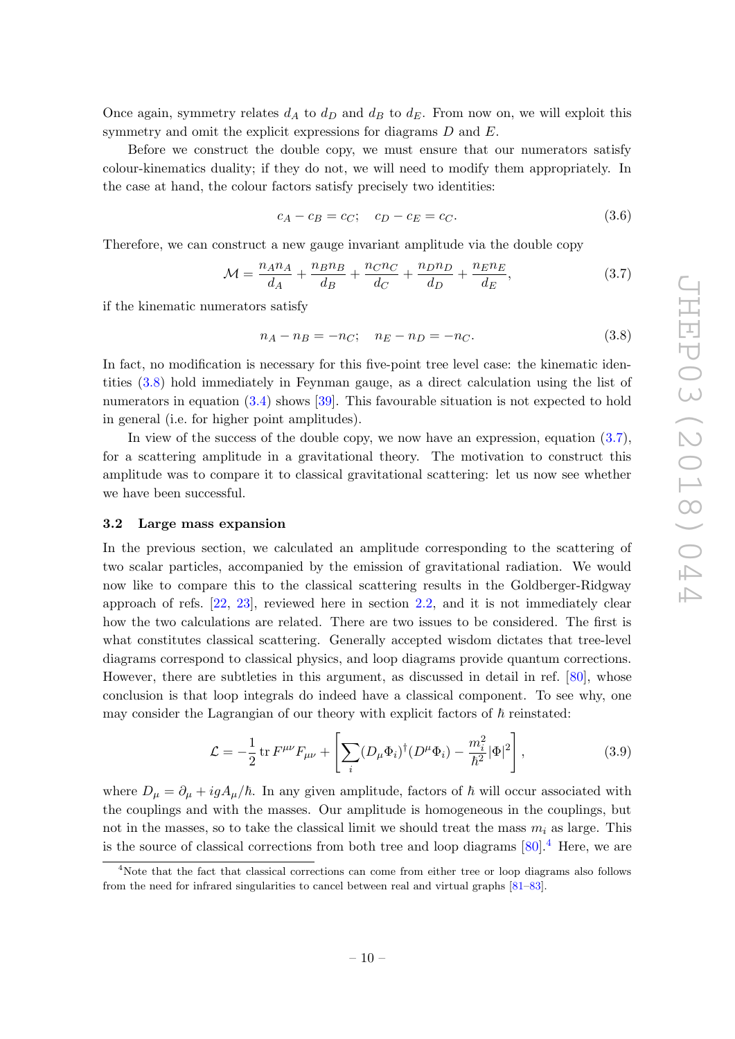Once again, symmetry relates  $d_A$  to  $d_D$  and  $d_B$  to  $d_E$ . From now on, we will exploit this symmetry and omit the explicit expressions for diagrams D and E.

Before we construct the double copy, we must ensure that our numerators satisfy colour-kinematics duality; if they do not, we will need to modify them appropriately. In the case at hand, the colour factors satisfy precisely two identities:

$$
c_A - c_B = c_C; \quad c_D - c_E = c_C. \tag{3.6}
$$

Therefore, we can construct a new gauge invariant amplitude via the double copy

<span id="page-11-2"></span>
$$
\mathcal{M} = \frac{n_A n_A}{d_A} + \frac{n_B n_B}{d_B} + \frac{n_C n_C}{d_C} + \frac{n_D n_D}{d_D} + \frac{n_E n_E}{d_E},\tag{3.7}
$$

if the kinematic numerators satisfy

<span id="page-11-1"></span>
$$
n_A - n_B = -n_C; \quad n_E - n_D = -n_C. \tag{3.8}
$$

In fact, no modification is necessary for this five-point tree level case: the kinematic identities [\(3.8\)](#page-11-1) hold immediately in Feynman gauge, as a direct calculation using the list of numerators in equation  $(3.4)$  shows [\[39\]](#page-24-3). This favourable situation is not expected to hold in general (i.e. for higher point amplitudes).

In view of the success of the double copy, we now have an expression, equation  $(3.7)$ , for a scattering amplitude in a gravitational theory. The motivation to construct this amplitude was to compare it to classical gravitational scattering: let us now see whether we have been successful.

#### <span id="page-11-0"></span>3.2 Large mass expansion

In the previous section, we calculated an amplitude corresponding to the scattering of two scalar particles, accompanied by the emission of gravitational radiation. We would now like to compare this to the classical scattering results in the Goldberger-Ridgway approach of refs. [\[22,](#page-23-5) [23\]](#page-23-6), reviewed here in section [2.2,](#page-6-0) and it is not immediately clear how the two calculations are related. There are two issues to be considered. The first is what constitutes classical scattering. Generally accepted wisdom dictates that tree-level diagrams correspond to classical physics, and loop diagrams provide quantum corrections. However, there are subtleties in this argument, as discussed in detail in ref. [\[80\]](#page-26-7), whose conclusion is that loop integrals do indeed have a classical component. To see why, one may consider the Lagrangian of our theory with explicit factors of  $\hbar$  reinstated:

$$
\mathcal{L} = -\frac{1}{2} \operatorname{tr} F^{\mu \nu} F_{\mu \nu} + \left[ \sum_{i} (D_{\mu} \Phi_{i})^{\dagger} (D^{\mu} \Phi_{i}) - \frac{m_{i}^{2}}{\hbar^{2}} |\Phi|^{2} \right],
$$
(3.9)

where  $D_{\mu} = \partial_{\mu} + igA_{\mu}/\hbar$ . In any given amplitude, factors of  $\hbar$  will occur associated with the couplings and with the masses. Our amplitude is homogeneous in the couplings, but not in the masses, so to take the classical limit we should treat the mass  $m_i$  as large. This is the source of classical corrections from both tree and loop diagrams  $[80]$ <sup>[4](#page-11-3)</sup>. Here, we are

<span id="page-11-3"></span><sup>4</sup>Note that the fact that classical corrections can come from either tree or loop diagrams also follows from the need for infrared singularities to cancel between real and virtual graphs [\[81](#page-26-8)[–83\]](#page-26-9).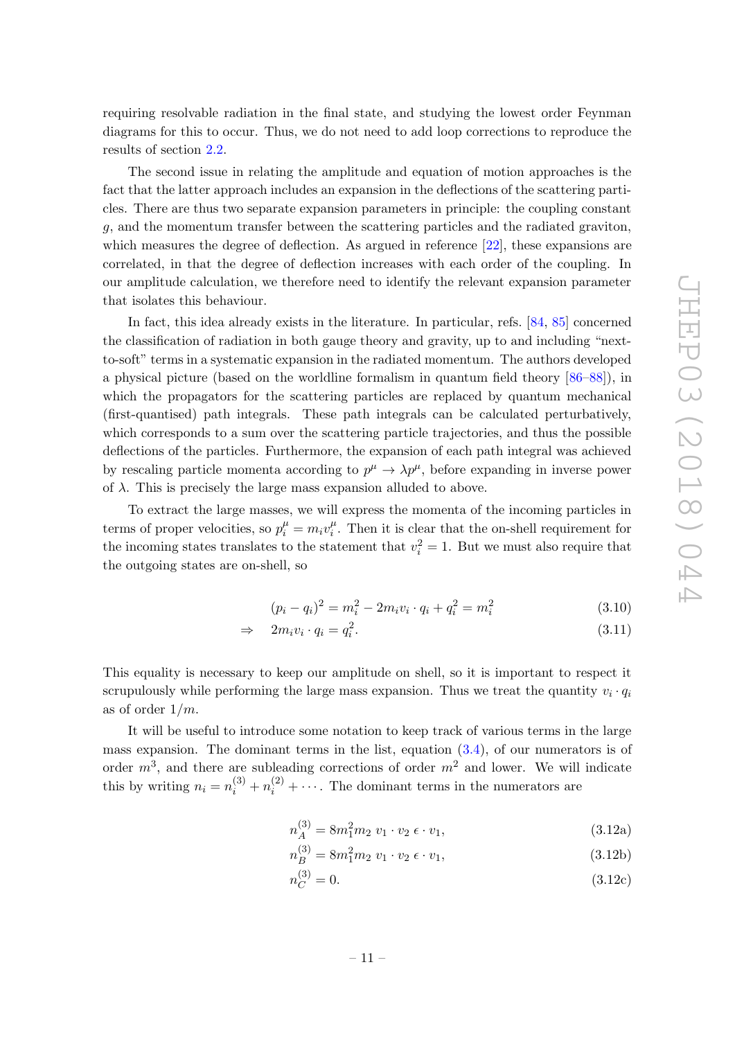requiring resolvable radiation in the final state, and studying the lowest order Feynman diagrams for this to occur. Thus, we do not need to add loop corrections to reproduce the results of section [2.2.](#page-6-0)

The second issue in relating the amplitude and equation of motion approaches is the fact that the latter approach includes an expansion in the deflections of the scattering particles. There are thus two separate expansion parameters in principle: the coupling constant g, and the momentum transfer between the scattering particles and the radiated graviton, which measures the degree of deflection. As argued in reference [\[22\]](#page-23-5), these expansions are correlated, in that the degree of deflection increases with each order of the coupling. In our amplitude calculation, we therefore need to identify the relevant expansion parameter that isolates this behaviour.

In fact, this idea already exists in the literature. In particular, refs. [\[84,](#page-27-0) [85\]](#page-27-1) concerned the classification of radiation in both gauge theory and gravity, up to and including "nextto-soft" terms in a systematic expansion in the radiated momentum. The authors developed a physical picture (based on the worldline formalism in quantum field theory [\[86–](#page-27-2)[88\]](#page-27-3)), in which the propagators for the scattering particles are replaced by quantum mechanical (first-quantised) path integrals. These path integrals can be calculated perturbatively, which corresponds to a sum over the scattering particle trajectories, and thus the possible deflections of the particles. Furthermore, the expansion of each path integral was achieved by rescaling particle momenta according to  $p^{\mu} \to \lambda p^{\mu}$ , before expanding in inverse power of  $\lambda$ . This is precisely the large mass expansion alluded to above.

To extract the large masses, we will express the momenta of the incoming particles in terms of proper velocities, so  $p_i^{\mu} = m_i v_i^{\mu}$  $i<sup>\mu</sup>$ . Then it is clear that the on-shell requirement for the incoming states translates to the statement that  $v_i^2 = 1$ . But we must also require that the outgoing states are on-shell, so

$$
(p_i - q_i)^2 = m_i^2 - 2m_i v_i \cdot q_i + q_i^2 = m_i^2 \tag{3.10}
$$

$$
\Rightarrow \quad 2m_i v_i \cdot q_i = q_i^2. \tag{3.11}
$$

This equality is necessary to keep our amplitude on shell, so it is important to respect it scrupulously while performing the large mass expansion. Thus we treat the quantity  $v_i \cdot q_i$ as of order  $1/m$ .

It will be useful to introduce some notation to keep track of various terms in the large mass expansion. The dominant terms in the list, equation  $(3.4)$ , of our numerators is of order  $m^3$ , and there are subleading corrections of order  $m^2$  and lower. We will indicate this by writing  $n_i = n_i^{(3)} + n_i^{(2)} + \cdots$ . The dominant terms in the numerators are

$$
n_A^{(3)} = 8m_1^2 m_2 v_1 \cdot v_2 \epsilon \cdot v_1,\tag{3.12a}
$$

$$
n_B^{(3)} = 8m_1^2 m_2 v_1 \cdot v_2 \epsilon \cdot v_1, \tag{3.12b}
$$

$$
n_C^{(3)} = 0.\t\t(3.12c)
$$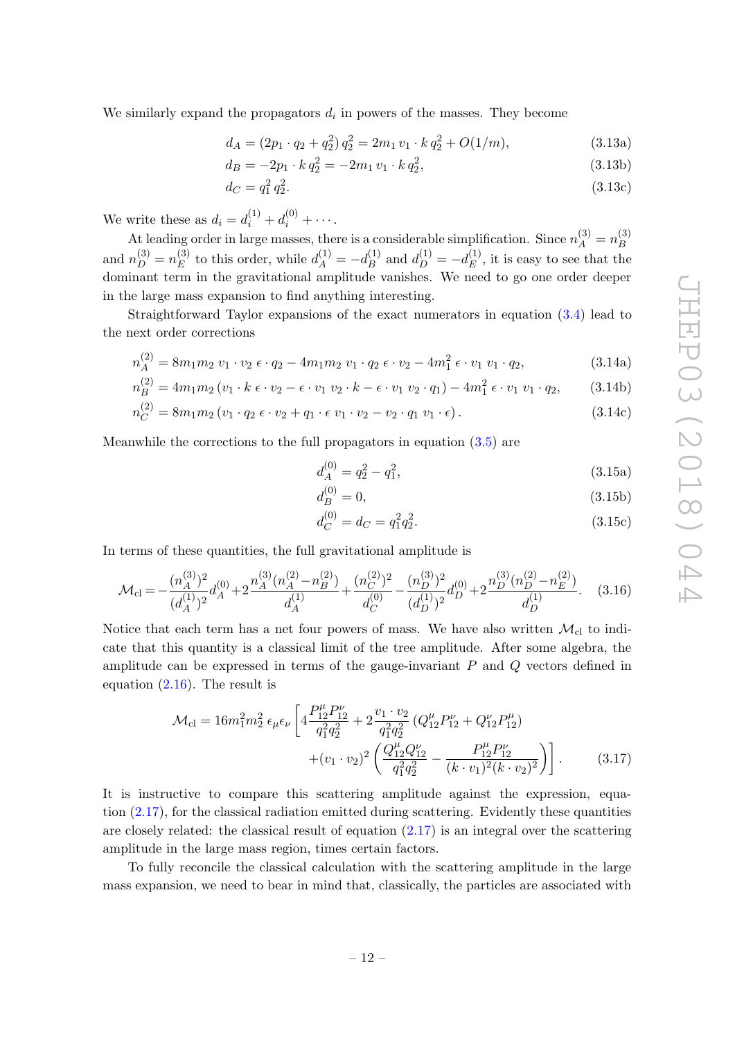We similarly expand the propagators  $d_i$  in powers of the masses. They become

$$
d_A = (2p_1 \cdot q_2 + q_2^2) q_2^2 = 2m_1 v_1 \cdot k q_2^2 + O(1/m), \qquad (3.13a)
$$

$$
d_B = -2p_1 \cdot k q_2^2 = -2m_1 v_1 \cdot k q_2^2, \tag{3.13b}
$$

$$
d_C = q_1^2 q_2^2. \tag{3.13c}
$$

We write these as  $d_i = d_i^{(1)} + d_i^{(0)} + \cdots$ .

At leading order in large masses, there is a considerable simplification. Since  $n_A^{(3)} = n_B^{(3)}$ B and  $n_D^{(3)} = n_E^{(3)}$  $t_E^{(3)}$  to this order, while  $d_A^{(1)} = -d_B^{(1)}$  $d_D^{(1)}$  and  $d_D^{(1)} = -d_E^{(1)}$  $E_E^{(1)}$ , it is easy to see that the dominant term in the gravitational amplitude vanishes. We need to go one order deeper in the large mass expansion to find anything interesting.

Straightforward Taylor expansions of the exact numerators in equation [\(3.4\)](#page-10-2) lead to the next order corrections

$$
n_A^{(2)} = 8m_1m_2 v_1 \cdot v_2 \epsilon \cdot q_2 - 4m_1m_2 v_1 \cdot q_2 \epsilon \cdot v_2 - 4m_1^2 \epsilon \cdot v_1 v_1 \cdot q_2, \tag{3.14a}
$$

$$
n_B^{(2)} = 4m_1m_2 (v_1 \cdot k \epsilon \cdot v_2 - \epsilon \cdot v_1 v_2 \cdot k - \epsilon \cdot v_1 v_2 \cdot q_1) - 4m_1^2 \epsilon \cdot v_1 v_1 \cdot q_2, \qquad (3.14b)
$$

$$
n_C^{(2)} = 8m_1m_2 (v_1 \cdot q_2 \epsilon \cdot v_2 + q_1 \cdot \epsilon v_1 \cdot v_2 - v_2 \cdot q_1 v_1 \cdot \epsilon).
$$
 (3.14c)

Meanwhile the corrections to the full propagators in equation  $(3.5)$  are

$$
d_A^{(0)} = q_2^2 - q_1^2,\t\t(3.15a)
$$

$$
d_B^{(0)} = 0,\t\t(3.15b)
$$

<span id="page-13-0"></span>
$$
d_C^{(0)} = d_C = q_1^2 q_2^2.
$$
\n(3.15c)

In terms of these quantities, the full gravitational amplitude is

$$
\mathcal{M}_{\rm cl} = -\frac{(n_A^{(3)})^2}{(d_A^{(1)})^2} d_A^{(0)} + 2 \frac{n_A^{(3)}(n_A^{(2)} - n_B^{(2)})}{d_A^{(1)}} + \frac{(n_C^{(2)})^2}{d_C^{(0)}} - \frac{(n_D^{(3)})^2}{(d_D^{(1)})^2} d_D^{(0)} + 2 \frac{n_D^{(3)}(n_D^{(2)} - n_E^{(2)})}{d_D^{(1)}}.
$$
(3.16)

Notice that each term has a net four powers of mass. We have also written  $\mathcal{M}_{\text{cl}}$  to indicate that this quantity is a classical limit of the tree amplitude. After some algebra, the amplitude can be expressed in terms of the gauge-invariant  $P$  and  $Q$  vectors defined in equation [\(2.16\)](#page-8-1). The result is

$$
\mathcal{M}_{\rm cl} = 16m_1^2 m_2^2 \epsilon_\mu \epsilon_\nu \left[ 4 \frac{P_{12}^\mu P_{12}^\nu}{q_1^2 q_2^2} + 2 \frac{v_1 \cdot v_2}{q_1^2 q_2^2} \left( Q_{12}^\mu P_{12}^\nu + Q_{12}^\nu P_{12}^\mu \right) + (v_1 \cdot v_2)^2 \left( \frac{Q_{12}^\mu Q_{12}^\nu}{q_1^2 q_2^2} - \frac{P_{12}^\mu P_{12}^\nu}{(k \cdot v_1)^2 (k \cdot v_2)^2} \right) \right].
$$
 (3.17)

It is instructive to compare this scattering amplitude against the expression, equation [\(2.17\)](#page-8-2), for the classical radiation emitted during scattering. Evidently these quantities are closely related: the classical result of equation  $(2.17)$  is an integral over the scattering amplitude in the large mass region, times certain factors.

To fully reconcile the classical calculation with the scattering amplitude in the large mass expansion, we need to bear in mind that, classically, the particles are associated with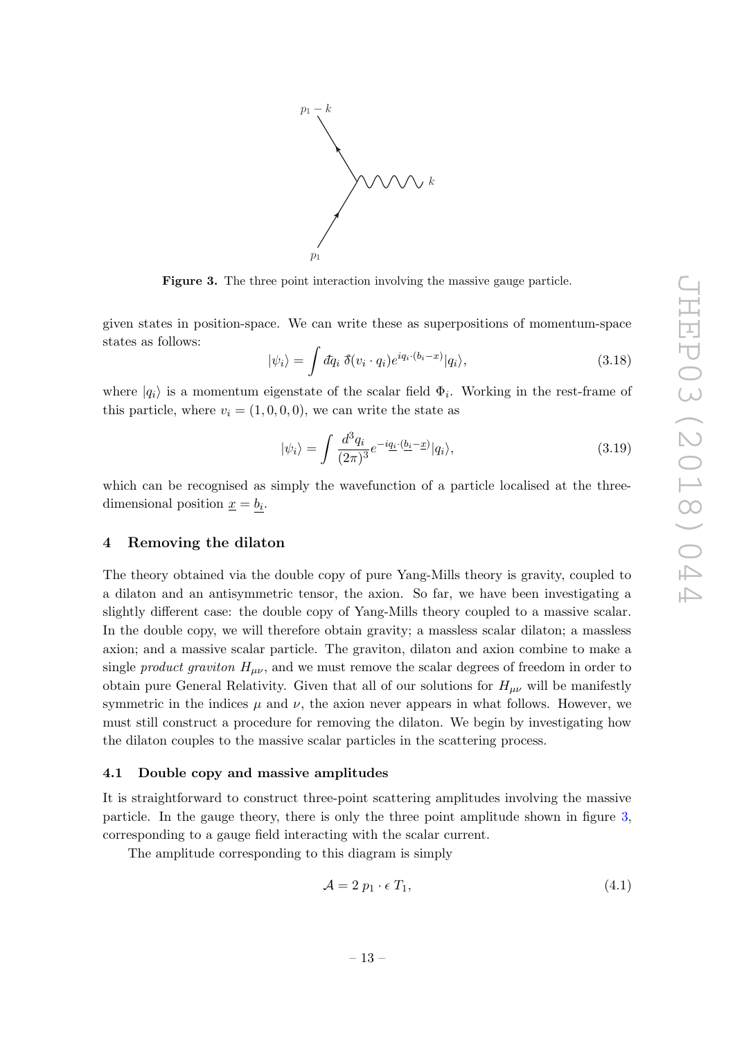<span id="page-14-2"></span>

Figure 3. The three point interaction involving the massive gauge particle.

given states in position-space. We can write these as superpositions of momentum-space states as follows:

$$
|\psi_i\rangle = \int d q_i \, \delta(v_i \cdot q_i) e^{iq_i \cdot (b_i - x)} |q_i\rangle,\tag{3.18}
$$

where  $|q_i\rangle$  is a momentum eigenstate of the scalar field  $\Phi_i$ . Working in the rest-frame of this particle, where  $v_i = (1, 0, 0, 0)$ , we can write the state as

$$
|\psi_i\rangle = \int \frac{d^3 q_i}{(2\pi)^3} e^{-i\underline{q_i} \cdot (\underline{b_i} - \underline{x})} |q_i\rangle,\tag{3.19}
$$

which can be recognised as simply the wavefunction of a particle localised at the threedimensional position  $\underline{x} = \underline{b_i}$ .

# <span id="page-14-0"></span>4 Removing the dilaton

The theory obtained via the double copy of pure Yang-Mills theory is gravity, coupled to a dilaton and an antisymmetric tensor, the axion. So far, we have been investigating a slightly different case: the double copy of Yang-Mills theory coupled to a massive scalar. In the double copy, we will therefore obtain gravity; a massless scalar dilaton; a massless axion; and a massive scalar particle. The graviton, dilaton and axion combine to make a single *product graviton*  $H_{\mu\nu}$ , and we must remove the scalar degrees of freedom in order to obtain pure General Relativity. Given that all of our solutions for  $H_{\mu\nu}$  will be manifestly symmetric in the indices  $\mu$  and  $\nu$ , the axion never appears in what follows. However, we must still construct a procedure for removing the dilaton. We begin by investigating how the dilaton couples to the massive scalar particles in the scattering process.

#### <span id="page-14-1"></span>4.1 Double copy and massive amplitudes

It is straightforward to construct three-point scattering amplitudes involving the massive particle. In the gauge theory, there is only the three point amplitude shown in figure [3,](#page-14-2) corresponding to a gauge field interacting with the scalar current.

The amplitude corresponding to this diagram is simply

$$
\mathcal{A} = 2 p_1 \cdot \epsilon T_1,\tag{4.1}
$$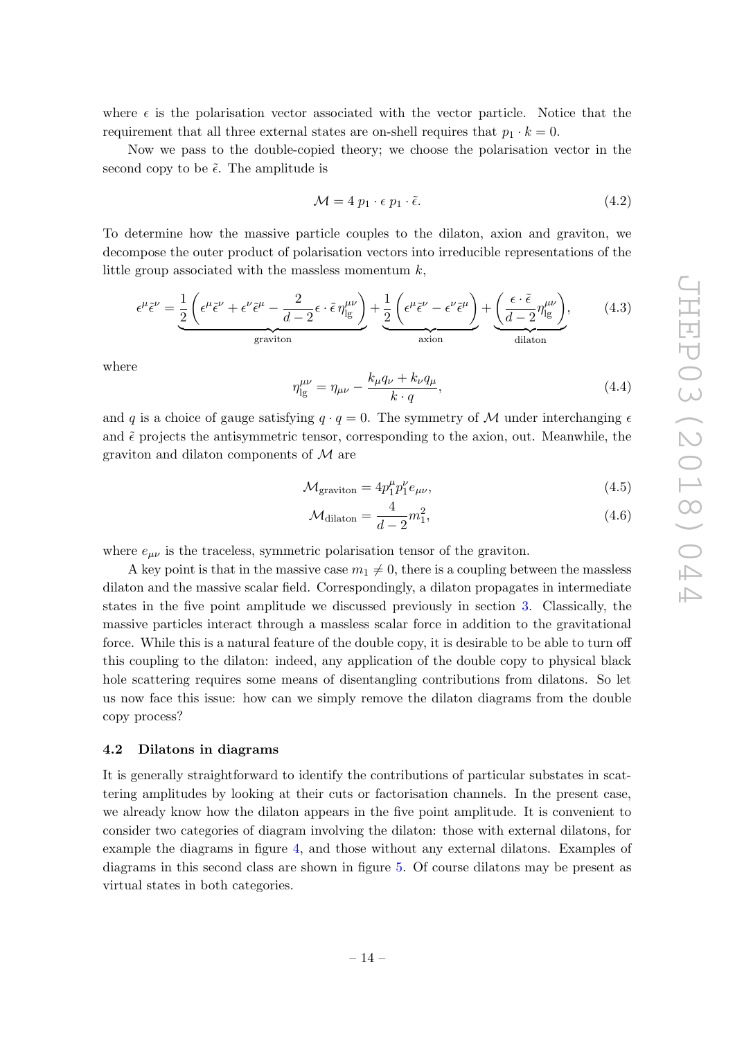where  $\epsilon$  is the polarisation vector associated with the vector particle. Notice that the requirement that all three external states are on-shell requires that  $p_1 \cdot k = 0$ .

Now we pass to the double-copied theory; we choose the polarisation vector in the second copy to be  $\tilde{\epsilon}$ . The amplitude is

$$
\mathcal{M} = 4 p_1 \cdot \epsilon p_1 \cdot \tilde{\epsilon}.\tag{4.2}
$$

To determine how the massive particle couples to the dilaton, axion and graviton, we decompose the outer product of polarisation vectors into irreducible representations of the little group associated with the massless momentum  $k$ ,

<span id="page-15-1"></span>
$$
\epsilon^{\mu}\tilde{\epsilon}^{\nu} = \underbrace{\frac{1}{2}\left(\epsilon^{\mu}\tilde{\epsilon}^{\nu} + \epsilon^{\nu}\tilde{\epsilon}^{\mu} - \frac{2}{d-2}\epsilon \cdot \tilde{\epsilon}\,\eta_{\rm lg}^{\mu\nu}\right)}_{\text{graviton}} + \underbrace{\frac{1}{2}\left(\epsilon^{\mu}\tilde{\epsilon}^{\nu} - \epsilon^{\nu}\tilde{\epsilon}^{\mu}\right)}_{\text{axion}} + \underbrace{\left(\frac{\epsilon \cdot \tilde{\epsilon}}{d-2}\eta_{\rm lg}^{\mu\nu}\right)}_{\text{dilaton}},\tag{4.3}
$$

where

$$
\eta_{\rm lg}^{\mu\nu} = \eta_{\mu\nu} - \frac{k_{\mu}q_{\nu} + k_{\nu}q_{\mu}}{k \cdot q},\tag{4.4}
$$

and q is a choice of gauge satisfying  $q \cdot q = 0$ . The symmetry of M under interchanging  $\epsilon$ and  $\tilde{\epsilon}$  projects the antisymmetric tensor, corresponding to the axion, out. Meanwhile, the graviton and dilaton components of M are

$$
\mathcal{M}_{\text{graviton}} = 4p_1^{\mu}p_1^{\nu}e_{\mu\nu},\tag{4.5}
$$

<span id="page-15-2"></span>
$$
\mathcal{M}_{\text{dilaton}} = \frac{4}{d-2}m_1^2,\tag{4.6}
$$

where  $e_{\mu\nu}$  is the traceless, symmetric polarisation tensor of the graviton.

A key point is that in the massive case  $m_1 \neq 0$ , there is a coupling between the massless dilaton and the massive scalar field. Correspondingly, a dilaton propagates in intermediate states in the five point amplitude we discussed previously in section [3.](#page-8-0) Classically, the massive particles interact through a massless scalar force in addition to the gravitational force. While this is a natural feature of the double copy, it is desirable to be able to turn off this coupling to the dilaton: indeed, any application of the double copy to physical black hole scattering requires some means of disentangling contributions from dilatons. So let us now face this issue: how can we simply remove the dilaton diagrams from the double copy process?

#### <span id="page-15-0"></span>4.2 Dilatons in diagrams

It is generally straightforward to identify the contributions of particular substates in scattering amplitudes by looking at their cuts or factorisation channels. In the present case, we already know how the dilaton appears in the five point amplitude. It is convenient to consider two categories of diagram involving the dilaton: those with external dilatons, for example the diagrams in figure [4,](#page-16-0) and those without any external dilatons. Examples of diagrams in this second class are shown in figure [5.](#page-16-1) Of course dilatons may be present as virtual states in both categories.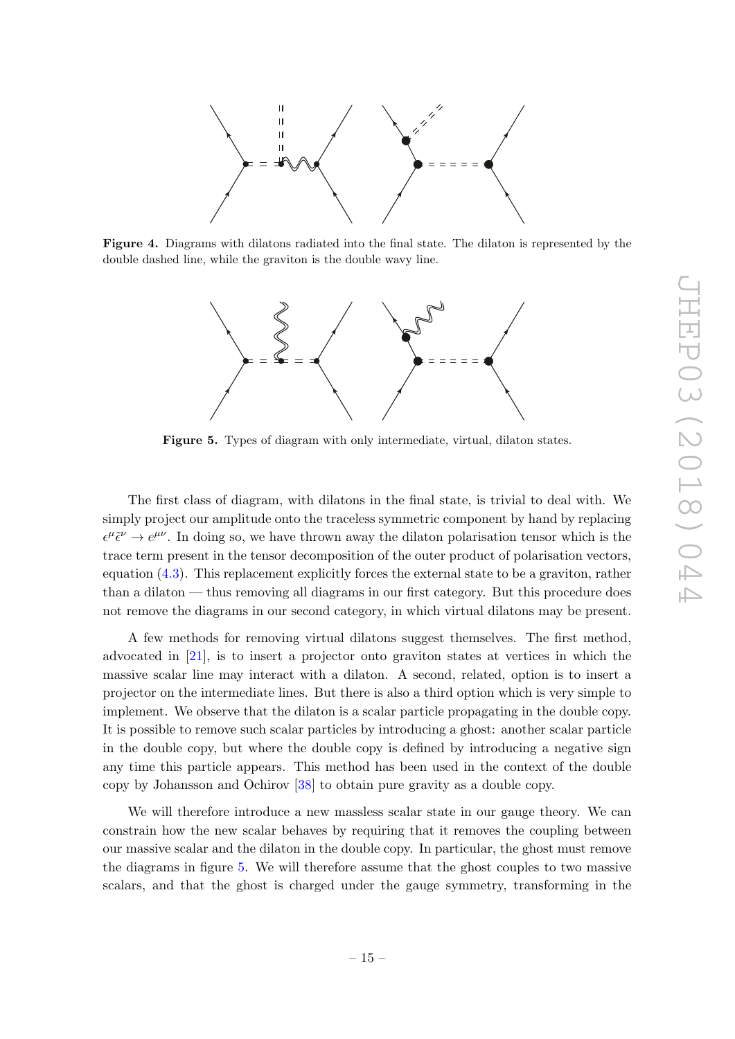<span id="page-16-0"></span>

<span id="page-16-1"></span>Figure 4. Diagrams with dilatons radiated into the final state. The dilaton is represented by the double dashed line, while the graviton is the double wavy line.



Figure 5. Types of diagram with only intermediate, virtual, dilaton states.

The first class of diagram, with dilatons in the final state, is trivial to deal with. We simply project our amplitude onto the traceless symmetric component by hand by replacing  $\epsilon^{\mu}\tilde{\epsilon}^{\nu} \to e^{\mu\nu}$ . In doing so, we have thrown away the dilaton polarisation tensor which is the trace term present in the tensor decomposition of the outer product of polarisation vectors, equation [\(4.3\)](#page-15-1). This replacement explicitly forces the external state to be a graviton, rather than a dilaton — thus removing all diagrams in our first category. But this procedure does not remove the diagrams in our second category, in which virtual dilatons may be present.

A few methods for removing virtual dilatons suggest themselves. The first method, advocated in [\[21\]](#page-23-4), is to insert a projector onto graviton states at vertices in which the massive scalar line may interact with a dilaton. A second, related, option is to insert a projector on the intermediate lines. But there is also a third option which is very simple to implement. We observe that the dilaton is a scalar particle propagating in the double copy. It is possible to remove such scalar particles by introducing a ghost: another scalar particle in the double copy, but where the double copy is defined by introducing a negative sign any time this particle appears. This method has been used in the context of the double copy by Johansson and Ochirov [\[38\]](#page-24-1) to obtain pure gravity as a double copy.

We will therefore introduce a new massless scalar state in our gauge theory. We can constrain how the new scalar behaves by requiring that it removes the coupling between our massive scalar and the dilaton in the double copy. In particular, the ghost must remove the diagrams in figure [5.](#page-16-1) We will therefore assume that the ghost couples to two massive scalars, and that the ghost is charged under the gauge symmetry, transforming in the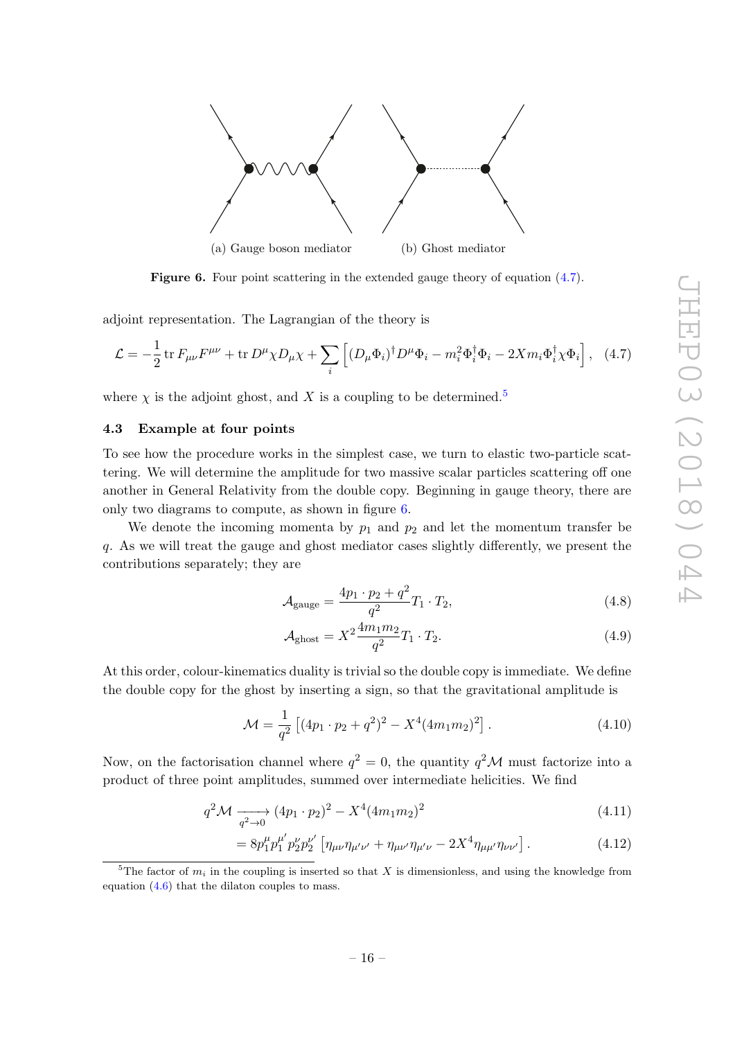<span id="page-17-3"></span>

Figure 6. Four point scattering in the extended gauge theory of equation  $(4.7)$ .

adjoint representation. The Lagrangian of the theory is

<span id="page-17-1"></span>
$$
\mathcal{L} = -\frac{1}{2} \operatorname{tr} F_{\mu\nu} F^{\mu\nu} + \operatorname{tr} D^{\mu} \chi D_{\mu} \chi + \sum_{i} \left[ (D_{\mu} \Phi_{i})^{\dagger} D^{\mu} \Phi_{i} - m_{i}^{2} \Phi_{i}^{\dagger} \Phi_{i} - 2X m_{i} \Phi_{i}^{\dagger} \chi \Phi_{i} \right], \tag{4.7}
$$

where  $\chi$  is the adjoint ghost, and X is a coupling to be determined.<sup>[5](#page-17-2)</sup>

#### <span id="page-17-0"></span>4.3 Example at four points

To see how the procedure works in the simplest case, we turn to elastic two-particle scattering. We will determine the amplitude for two massive scalar particles scattering off one another in General Relativity from the double copy. Beginning in gauge theory, there are only two diagrams to compute, as shown in figure [6.](#page-17-3)

We denote the incoming momenta by  $p_1$  and  $p_2$  and let the momentum transfer be q. As we will treat the gauge and ghost mediator cases slightly differently, we present the contributions separately; they are

$$
\mathcal{A}_{\text{gauge}} = \frac{4p_1 \cdot p_2 + q^2}{q^2} T_1 \cdot T_2,\tag{4.8}
$$

$$
\mathcal{A}_{\text{ghost}} = X^2 \frac{4m_1 m_2}{q^2} T_1 \cdot T_2. \tag{4.9}
$$

At this order, colour-kinematics duality is trivial so the double copy is immediate. We define the double copy for the ghost by inserting a sign, so that the gravitational amplitude is

$$
\mathcal{M} = \frac{1}{q^2} \left[ (4p_1 \cdot p_2 + q^2)^2 - X^4 (4m_1 m_2)^2 \right]. \tag{4.10}
$$

Now, on the factorisation channel where  $q^2 = 0$ , the quantity  $q^2 \mathcal{M}$  must factorize into a product of three point amplitudes, summed over intermediate helicities. We find

$$
q^2 \mathcal{M} \xrightarrow[q^2 \to 0]{} (4p_1 \cdot p_2)^2 - X^4 (4m_1 m_2)^2
$$
\n(4.11)

$$
=8p_1^{\mu}p_1^{\mu'}p_2^{\nu}p_2^{\nu'}\left[\eta_{\mu\nu}\eta_{\mu'\nu'}+\eta_{\mu\nu'}\eta_{\mu'\nu}-2X^4\eta_{\mu\mu'}\eta_{\nu\nu'}\right].\tag{4.12}
$$

<span id="page-17-2"></span><sup>&</sup>lt;sup>5</sup>The factor of  $m_i$  in the coupling is inserted so that X is dimensionless, and using the knowledge from equation  $(4.6)$  that the dilaton couples to mass.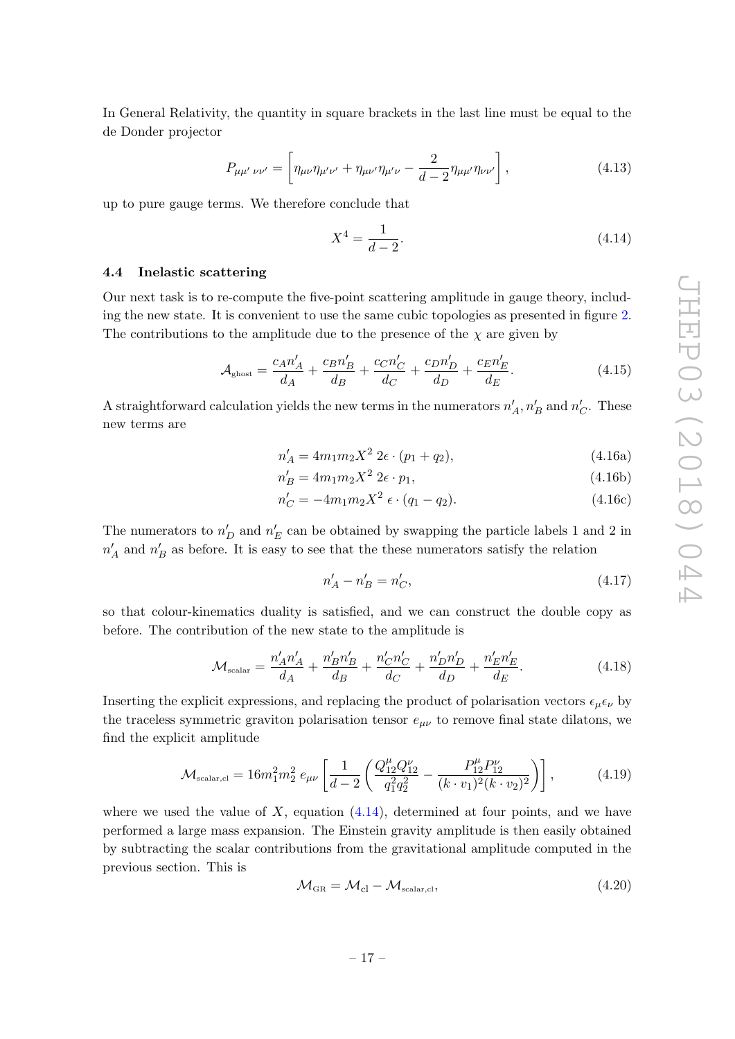In General Relativity, the quantity in square brackets in the last line must be equal to the de Donder projector

$$
P_{\mu\mu'\nu\nu'} = \left[\eta_{\mu\nu}\eta_{\mu'\nu'} + \eta_{\mu\nu'}\eta_{\mu'\nu} - \frac{2}{d-2}\eta_{\mu\mu'}\eta_{\nu\nu'}\right],
$$
\n(4.13)

up to pure gauge terms. We therefore conclude that

<span id="page-18-1"></span>
$$
X^4 = \frac{1}{d-2}.\tag{4.14}
$$

#### <span id="page-18-0"></span>4.4 Inelastic scattering

Our next task is to re-compute the five-point scattering amplitude in gauge theory, including the new state. It is convenient to use the same cubic topologies as presented in figure [2.](#page-10-0) The contributions to the amplitude due to the presence of the  $\chi$  are given by

<span id="page-18-2"></span>
$$
\mathcal{A}_{\text{ghost}} = \frac{c_A n_A'}{d_A} + \frac{c_B n_B'}{d_B} + \frac{c_C n_C'}{d_C} + \frac{c_D n_D'}{d_D} + \frac{c_E n_E'}{d_E}.
$$
\n(4.15)

A straightforward calculation yields the new terms in the numerators  $n'_A, n'_B$  and  $n'_C$ . These new terms are

$$
n'_A = 4m_1m_2X^2 \ 2\epsilon \cdot (p_1 + q_2),\tag{4.16a}
$$

$$
n'_B = 4m_1m_2X^2 \ 2\epsilon \cdot p_1,\tag{4.16b}
$$

$$
n'_C = -4m_1m_2X^2 \epsilon \cdot (q_1 - q_2). \tag{4.16c}
$$

The numerators to  $n'_D$  and  $n'_E$  can be obtained by swapping the particle labels 1 and 2 in  $n'_A$  and  $n'_B$  as before. It is easy to see that the these numerators satisfy the relation

$$
n'_A - n'_B = n'_C,\t\t(4.17)
$$

so that colour-kinematics duality is satisfied, and we can construct the double copy as before. The contribution of the new state to the amplitude is

$$
\mathcal{M}_{\text{scalar}} = \frac{n'_A n'_A}{d_A} + \frac{n'_B n'_B}{d_B} + \frac{n'_C n'_C}{d_C} + \frac{n'_D n'_D}{d_D} + \frac{n'_E n'_E}{d_E}.
$$
\n(4.18)

Inserting the explicit expressions, and replacing the product of polarisation vectors  $\epsilon_{\mu}\epsilon_{\nu}$  by the traceless symmetric graviton polarisation tensor  $e_{\mu\nu}$  to remove final state dilatons, we find the explicit amplitude

<span id="page-18-3"></span>
$$
\mathcal{M}_{\text{scalar,cl}} = 16m_1^2 m_2^2 \ e_{\mu\nu} \left[ \frac{1}{d-2} \left( \frac{Q_{12}^{\mu} Q_{12}^{\nu}}{q_1^2 q_2^2} - \frac{P_{12}^{\mu} P_{12}^{\nu}}{(k \cdot v_1)^2 (k \cdot v_2)^2} \right) \right],\tag{4.19}
$$

where we used the value of  $X$ , equation  $(4.14)$ , determined at four points, and we have performed a large mass expansion. The Einstein gravity amplitude is then easily obtained by subtracting the scalar contributions from the gravitational amplitude computed in the previous section. This is

$$
\mathcal{M}_{\text{GR}} = \mathcal{M}_{\text{cl}} - \mathcal{M}_{\text{scalar,cl}},\tag{4.20}
$$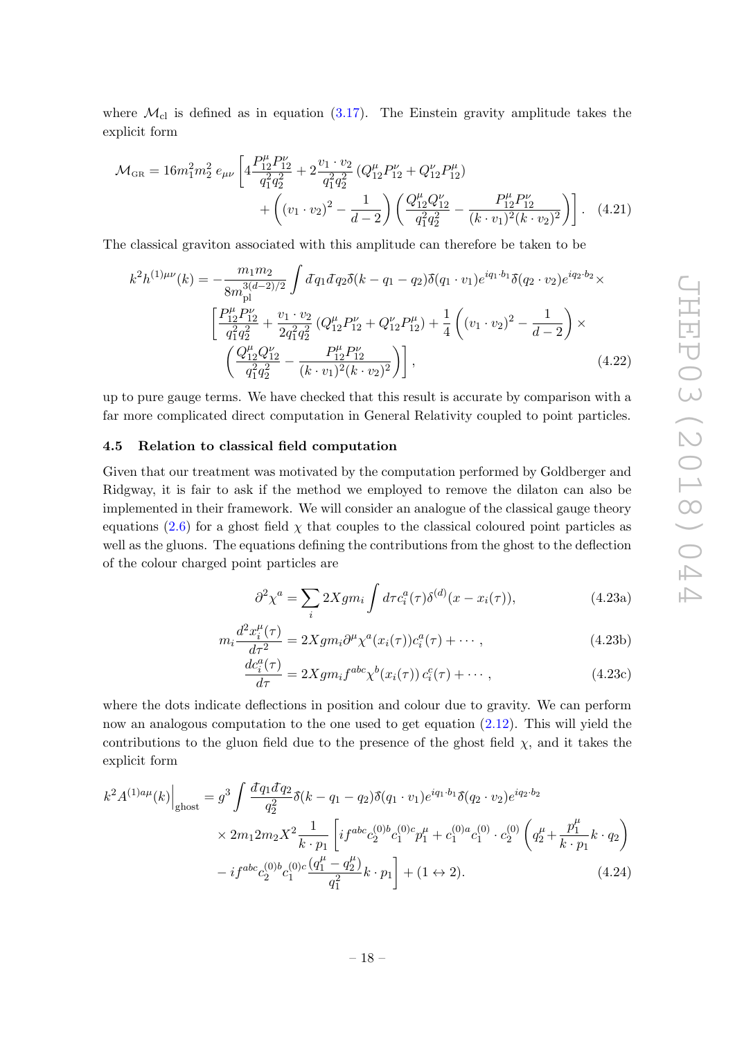where  $\mathcal{M}_{\text{cl}}$  is defined as in equation [\(3.17\)](#page-13-0). The Einstein gravity amplitude takes the explicit form

$$
\mathcal{M}_{\text{GR}} = 16m_1^2 m_2^2 e_{\mu\nu} \left[ 4 \frac{P_{12}^{\mu} P_{12}^{\nu}}{q_1^2 q_2^2} + 2 \frac{v_1 \cdot v_2}{q_1^2 q_2^2} \left( Q_{12}^{\mu} P_{12}^{\nu} + Q_{12}^{\nu} P_{12}^{\mu} \right) \right. \\
\left. + \left( (v_1 \cdot v_2)^2 - \frac{1}{d - 2} \right) \left( \frac{Q_{12}^{\mu} Q_{12}^{\nu}}{q_1^2 q_2^2} - \frac{P_{12}^{\mu} P_{12}^{\nu}}{(k \cdot v_1)^2 (k \cdot v_2)^2} \right) \right]. \tag{4.21}
$$

The classical graviton associated with this amplitude can therefore be taken to be

$$
k^{2}h^{(1)\mu\nu}(k) = -\frac{m_{1}m_{2}}{8m_{\text{pl}}^{3(d-2)/2}} \int d q_{1} d q_{2} \delta(k - q_{1} - q_{2}) \delta(q_{1} \cdot v_{1}) e^{iq_{1} \cdot b_{1}} \delta(q_{2} \cdot v_{2}) e^{iq_{2} \cdot b_{2}} \times \left[ \frac{P_{12}^{\mu} P_{12}^{\nu}}{q_{1}^{2} q_{2}^{2}} + \frac{v_{1} \cdot v_{2}}{2q_{1}^{2} q_{2}^{2}} (Q_{12}^{\mu} P_{12}^{\nu} + Q_{12}^{\nu} P_{12}^{\mu}) + \frac{1}{4} \left( (v_{1} \cdot v_{2})^{2} - \frac{1}{d - 2} \right) \times \left( \frac{Q_{12}^{\mu} Q_{12}^{\nu}}{q_{1}^{2} q_{2}^{2}} - \frac{P_{12}^{\mu} P_{12}^{\nu}}{(k \cdot v_{1})^{2} (k \cdot v_{2})^{2}} \right) \right],
$$
\n(4.22)

up to pure gauge terms. We have checked that this result is accurate by comparison with a far more complicated direct computation in General Relativity coupled to point particles.

#### <span id="page-19-0"></span>4.5 Relation to classical field computation

Given that our treatment was motivated by the computation performed by Goldberger and Ridgway, it is fair to ask if the method we employed to remove the dilaton can also be implemented in their framework. We will consider an analogue of the classical gauge theory equations [\(2.6\)](#page-6-1) for a ghost field  $\chi$  that couples to the classical coloured point particles as well as the gluons. The equations defining the contributions from the ghost to the deflection of the colour charged point particles are

$$
\partial^2 \chi^a = \sum_i 2X g m_i \int d\tau c_i^a(\tau) \delta^{(d)}(x - x_i(\tau)), \qquad (4.23a)
$$

$$
m_i \frac{d^2 x_i^{\mu}(\tau)}{d\tau^2} = 2X g m_i \partial^{\mu} \chi^a(x_i(\tau)) c_i^a(\tau) + \cdots, \qquad (4.23b)
$$

<span id="page-19-1"></span>
$$
\frac{dc_i^a(\tau)}{d\tau} = 2Xg m_i f^{abc} \chi^b(x_i(\tau)) c_i^c(\tau) + \cdots, \qquad (4.23c)
$$

where the dots indicate deflections in position and colour due to gravity. We can perform now an analogous computation to the one used to get equation [\(2.12\)](#page-7-1). This will yield the contributions to the gluon field due to the presence of the ghost field  $\chi$ , and it takes the explicit form

$$
k^{2} A^{(1)a\mu}(k)\Big|_{\text{ghost}} = g^{3} \int \frac{d q_{1} d q_{2}}{q_{2}^{2}} \delta(k - q_{1} - q_{2}) \delta(q_{1} \cdot v_{1}) e^{i q_{1} \cdot b_{1}} \delta(q_{2} \cdot v_{2}) e^{i q_{2} \cdot b_{2}} \times 2m_{1} 2m_{2} X^{2} \frac{1}{k \cdot p_{1}} \left[ i f^{abc} c_{2}^{(0)b} c_{1}^{(0)c} p_{1}^{\mu} + c_{1}^{(0)a} c_{1}^{(0)} \cdot c_{2}^{(0)} \left( q_{2}^{\mu} + \frac{p_{1}^{\mu}}{k \cdot p_{1}} k \cdot q_{2} \right) \right. - i f^{abc} c_{2}^{(0)b} c_{1}^{(0)c} \frac{(q_{1}^{\mu} - q_{2}^{\mu})}{q_{1}^{2}} k \cdot p_{1} \left] + (1 \leftrightarrow 2). \tag{4.24}
$$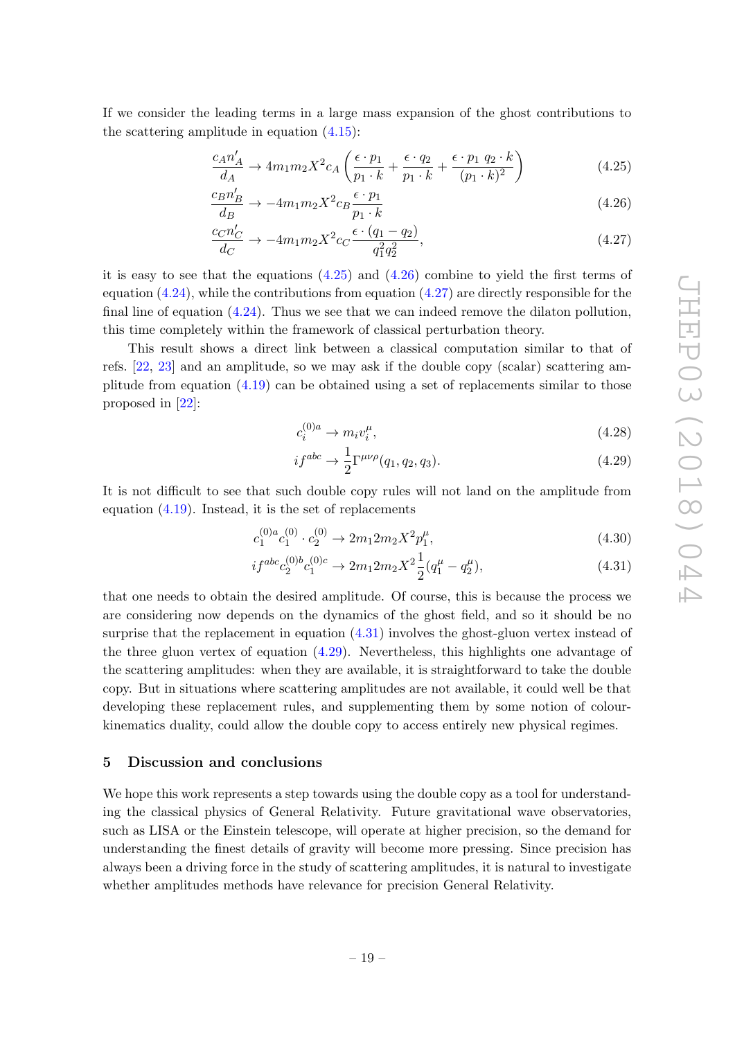If we consider the leading terms in a large mass expansion of the ghost contributions to the scattering amplitude in equation  $(4.15)$ :

<span id="page-20-1"></span>
$$
\frac{c_A n'_A}{d_A} \to 4m_1 m_2 X^2 c_A \left(\frac{\epsilon \cdot p_1}{p_1 \cdot k} + \frac{\epsilon \cdot q_2}{p_1 \cdot k} + \frac{\epsilon \cdot p_1 q_2 \cdot k}{(p_1 \cdot k)^2}\right) \tag{4.25}
$$

$$
\frac{c_B n'_B}{d_B} \to -4m_1 m_2 X^2 c_B \frac{\epsilon \cdot p_1}{p_1 \cdot k} \tag{4.26}
$$

$$
\frac{ccn'_{C}}{d_{C}} \to -4m_{1}m_{2}X^{2}c_{C}\frac{\epsilon \cdot (q_{1}-q_{2})}{q_{1}^{2}q_{2}^{2}},\tag{4.27}
$$

it is easy to see that the equations  $(4.25)$  and  $(4.26)$  combine to yield the first terms of equation  $(4.24)$ , while the contributions from equation  $(4.27)$  are directly responsible for the final line of equation  $(4.24)$ . Thus we see that we can indeed remove the dilaton pollution, this time completely within the framework of classical perturbation theory.

This result shows a direct link between a classical computation similar to that of refs. [\[22,](#page-23-5) [23\]](#page-23-6) and an amplitude, so we may ask if the double copy (scalar) scattering amplitude from equation  $(4.19)$  can be obtained using a set of replacements similar to those proposed in [\[22\]](#page-23-5):

<span id="page-20-5"></span><span id="page-20-3"></span><span id="page-20-2"></span>
$$
c_i^{(0)a} \to m_i v_i^{\mu},\tag{4.28}
$$

<span id="page-20-4"></span>
$$
if^{abc} \to \frac{1}{2} \Gamma^{\mu\nu\rho}(q_1, q_2, q_3). \tag{4.29}
$$

It is not difficult to see that such double copy rules will not land on the amplitude from equation  $(4.19)$ . Instead, it is the set of replacements

$$
c_1^{(0)a}c_1^{(0)} \cdot c_2^{(0)} \to 2m_1 2m_2 X^2 p_1^{\mu},\tag{4.30}
$$

$$
if^{abc}c_2^{(0)b}c_1^{(0)c} \to 2m_1 2m_2 X^2 \frac{1}{2}(q_1^{\mu} - q_2^{\mu}), \tag{4.31}
$$

that one needs to obtain the desired amplitude. Of course, this is because the process we are considering now depends on the dynamics of the ghost field, and so it should be no surprise that the replacement in equation [\(4.31\)](#page-20-4) involves the ghost-gluon vertex instead of the three gluon vertex of equation [\(4.29\)](#page-20-5). Nevertheless, this highlights one advantage of the scattering amplitudes: when they are available, it is straightforward to take the double copy. But in situations where scattering amplitudes are not available, it could well be that developing these replacement rules, and supplementing them by some notion of colourkinematics duality, could allow the double copy to access entirely new physical regimes.

# <span id="page-20-0"></span>5 Discussion and conclusions

We hope this work represents a step towards using the double copy as a tool for understanding the classical physics of General Relativity. Future gravitational wave observatories, such as LISA or the Einstein telescope, will operate at higher precision, so the demand for understanding the finest details of gravity will become more pressing. Since precision has always been a driving force in the study of scattering amplitudes, it is natural to investigate whether amplitudes methods have relevance for precision General Relativity.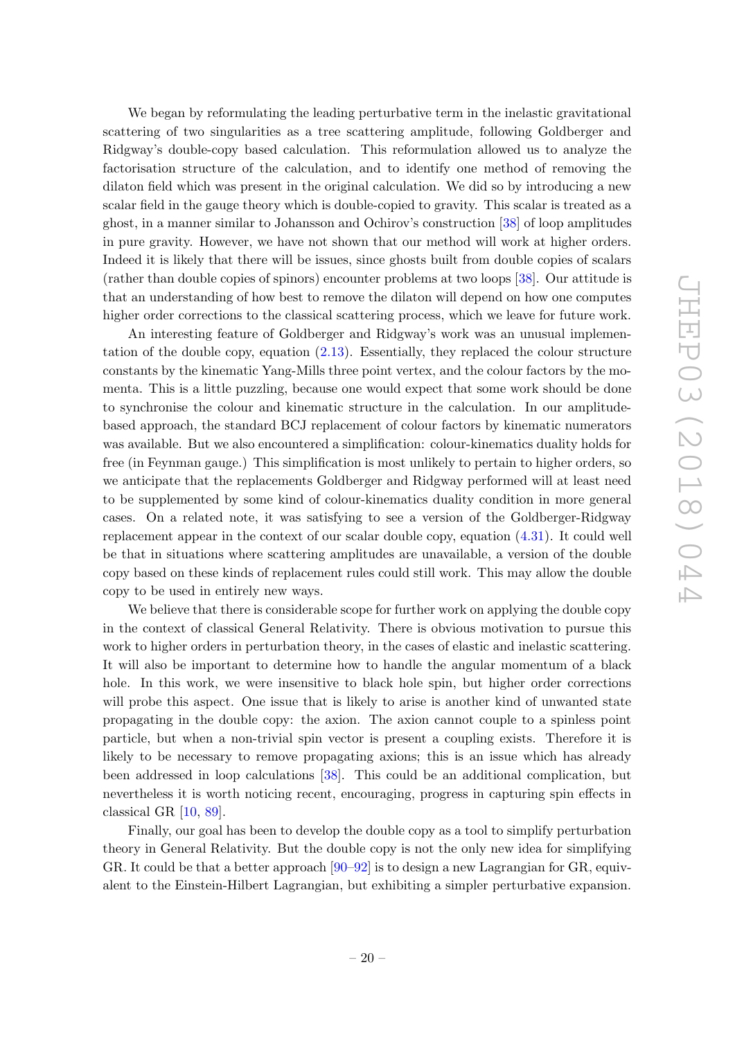We began by reformulating the leading perturbative term in the inelastic gravitational scattering of two singularities as a tree scattering amplitude, following Goldberger and Ridgway's double-copy based calculation. This reformulation allowed us to analyze the factorisation structure of the calculation, and to identify one method of removing the dilaton field which was present in the original calculation. We did so by introducing a new scalar field in the gauge theory which is double-copied to gravity. This scalar is treated as a ghost, in a manner similar to Johansson and Ochirov's construction [\[38\]](#page-24-1) of loop amplitudes in pure gravity. However, we have not shown that our method will work at higher orders. Indeed it is likely that there will be issues, since ghosts built from double copies of scalars (rather than double copies of spinors) encounter problems at two loops [\[38\]](#page-24-1). Our attitude is that an understanding of how best to remove the dilaton will depend on how one computes higher order corrections to the classical scattering process, which we leave for future work.

An interesting feature of Goldberger and Ridgway's work was an unusual implementation of the double copy, equation [\(2.13\)](#page-7-0). Essentially, they replaced the colour structure constants by the kinematic Yang-Mills three point vertex, and the colour factors by the momenta. This is a little puzzling, because one would expect that some work should be done to synchronise the colour and kinematic structure in the calculation. In our amplitudebased approach, the standard BCJ replacement of colour factors by kinematic numerators was available. But we also encountered a simplification: colour-kinematics duality holds for free (in Feynman gauge.) This simplification is most unlikely to pertain to higher orders, so we anticipate that the replacements Goldberger and Ridgway performed will at least need to be supplemented by some kind of colour-kinematics duality condition in more general cases. On a related note, it was satisfying to see a version of the Goldberger-Ridgway replacement appear in the context of our scalar double copy, equation [\(4.31\)](#page-20-4). It could well be that in situations where scattering amplitudes are unavailable, a version of the double copy based on these kinds of replacement rules could still work. This may allow the double copy to be used in entirely new ways.

We believe that there is considerable scope for further work on applying the double copy in the context of classical General Relativity. There is obvious motivation to pursue this work to higher orders in perturbation theory, in the cases of elastic and inelastic scattering. It will also be important to determine how to handle the angular momentum of a black hole. In this work, we were insensitive to black hole spin, but higher order corrections will probe this aspect. One issue that is likely to arise is another kind of unwanted state propagating in the double copy: the axion. The axion cannot couple to a spinless point particle, but when a non-trivial spin vector is present a coupling exists. Therefore it is likely to be necessary to remove propagating axions; this is an issue which has already been addressed in loop calculations [\[38\]](#page-24-1). This could be an additional complication, but nevertheless it is worth noticing recent, encouraging, progress in capturing spin effects in classical GR [\[10,](#page-22-4) [89\]](#page-27-4).

Finally, our goal has been to develop the double copy as a tool to simplify perturbation theory in General Relativity. But the double copy is not the only new idea for simplifying GR. It could be that a better approach  $[90-92]$  is to design a new Lagrangian for GR, equivalent to the Einstein-Hilbert Lagrangian, but exhibiting a simpler perturbative expansion.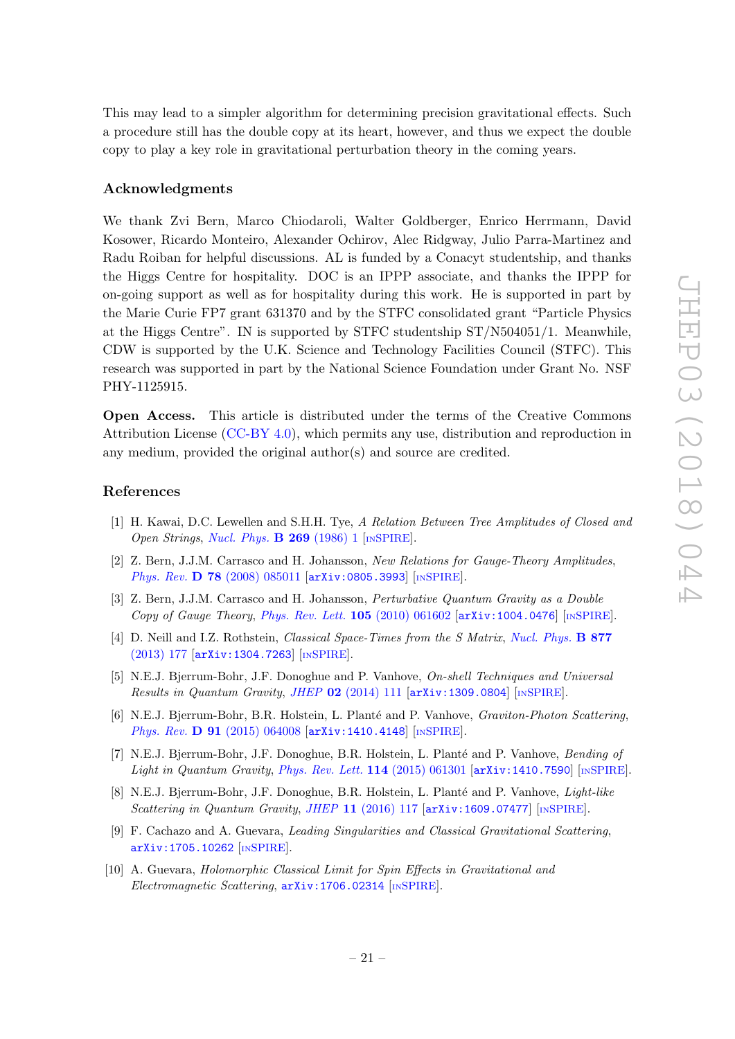This may lead to a simpler algorithm for determining precision gravitational effects. Such a procedure still has the double copy at its heart, however, and thus we expect the double copy to play a key role in gravitational perturbation theory in the coming years.

## Acknowledgments

We thank Zvi Bern, Marco Chiodaroli, Walter Goldberger, Enrico Herrmann, David Kosower, Ricardo Monteiro, Alexander Ochirov, Alec Ridgway, Julio Parra-Martinez and Radu Roiban for helpful discussions. AL is funded by a Conacyt studentship, and thanks the Higgs Centre for hospitality. DOC is an IPPP associate, and thanks the IPPP for on-going support as well as for hospitality during this work. He is supported in part by the Marie Curie FP7 grant 631370 and by the STFC consolidated grant "Particle Physics at the Higgs Centre". IN is supported by STFC studentship ST/N504051/1. Meanwhile, CDW is supported by the U.K. Science and Technology Facilities Council (STFC). This research was supported in part by the National Science Foundation under Grant No. NSF PHY-1125915.

Open Access. This article is distributed under the terms of the Creative Commons Attribution License [\(CC-BY 4.0\)](https://creativecommons.org/licenses/by/4.0/), which permits any use, distribution and reproduction in any medium, provided the original author(s) and source are credited.

#### References

- <span id="page-22-0"></span>[1] H. Kawai, D.C. Lewellen and S.H.H. Tye, A Relation Between Tree Amplitudes of Closed and Open Strings, [Nucl. Phys.](https://doi.org/10.1016/0550-3213(86)90362-7) **B 269** (1986) 1 [IN[SPIRE](https://inspirehep.net/search?p=find+J+%22Nucl.Phys.,B269,1%22)].
- <span id="page-22-1"></span>[2] Z. Bern, J.J.M. Carrasco and H. Johansson, New Relations for Gauge-Theory Amplitudes, Phys. Rev. D 78 [\(2008\) 085011](https://doi.org/10.1103/PhysRevD.78.085011) [[arXiv:0805.3993](https://arxiv.org/abs/0805.3993)] [IN[SPIRE](https://inspirehep.net/search?p=find+EPRINT+arXiv:0805.3993)].
- <span id="page-22-2"></span>[3] Z. Bern, J.J.M. Carrasco and H. Johansson, *Perturbative Quantum Gravity as a Double* Copy of Gauge Theory, [Phys. Rev. Lett.](https://doi.org/10.1103/PhysRevLett.105.061602) 105 (2010) 061602 [[arXiv:1004.0476](https://arxiv.org/abs/1004.0476)] [IN[SPIRE](https://inspirehep.net/search?p=find+EPRINT+arXiv:1004.0476)].
- <span id="page-22-3"></span>[4] D. Neill and I.Z. Rothstein, Classical Space-Times from the S Matrix, [Nucl. Phys.](https://doi.org/10.1016/j.nuclphysb.2013.09.007) B 877 [\(2013\) 177](https://doi.org/10.1016/j.nuclphysb.2013.09.007) [[arXiv:1304.7263](https://arxiv.org/abs/1304.7263)] [IN[SPIRE](https://inspirehep.net/search?p=find+EPRINT+arXiv:1304.7263)].
- [5] N.E.J. Bjerrum-Bohr, J.F. Donoghue and P. Vanhove, On-shell Techniques and Universal Results in Quantum Gravity, JHEP  $02$  [\(2014\) 111](https://doi.org/10.1007/JHEP02(2014)111)  $\text{arXiv:1309.0804}$  $\text{arXiv:1309.0804}$  $\text{arXiv:1309.0804}$  [IN[SPIRE](https://inspirehep.net/search?p=find+EPRINT+arXiv:1309.0804)].
- [6] N.E.J. Bjerrum-Bohr, B.R. Holstein, L. Planté and P. Vanhove, *Graviton-Photon Scattering*, Phys. Rev. **D 91** [\(2015\) 064008](https://doi.org/10.1103/PhysRevD.91.064008) [[arXiv:1410.4148](https://arxiv.org/abs/1410.4148)] [IN[SPIRE](https://inspirehep.net/search?p=find+EPRINT+arXiv:1410.4148)].
- [7] N.E.J. Bjerrum-Bohr, J.F. Donoghue, B.R. Holstein, L. Planté and P. Vanhove, Bending of Light in Quantum Gravity, [Phys. Rev. Lett.](https://doi.org/10.1103/PhysRevLett.114.061301) 114 (2015) 061301 [arXiv: 1410.7590] [IN[SPIRE](https://inspirehep.net/search?p=find+EPRINT+arXiv:1410.7590)].
- [8] N.E.J. Bjerrum-Bohr, J.F. Donoghue, B.R. Holstein, L. Planté and P. Vanhove, *Light-like* Scattering in Quantum Gravity, JHEP 11 [\(2016\) 117](https://doi.org/10.1007/JHEP11(2016)117) [[arXiv:1609.07477](https://arxiv.org/abs/1609.07477)] [IN[SPIRE](https://inspirehep.net/search?p=find+EPRINT+arXiv:1609.07477)].
- [9] F. Cachazo and A. Guevara, Leading Singularities and Classical Gravitational Scattering, [arXiv:1705.10262](https://arxiv.org/abs/1705.10262) [IN[SPIRE](https://inspirehep.net/search?p=find+EPRINT+arXiv:1705.10262)].
- <span id="page-22-4"></span>[10] A. Guevara, Holomorphic Classical Limit for Spin Effects in Gravitational and Electromagnetic Scattering,  $arXiv:1706.02314$  [IN[SPIRE](https://inspirehep.net/search?p=find+EPRINT+arXiv:1706.02314)].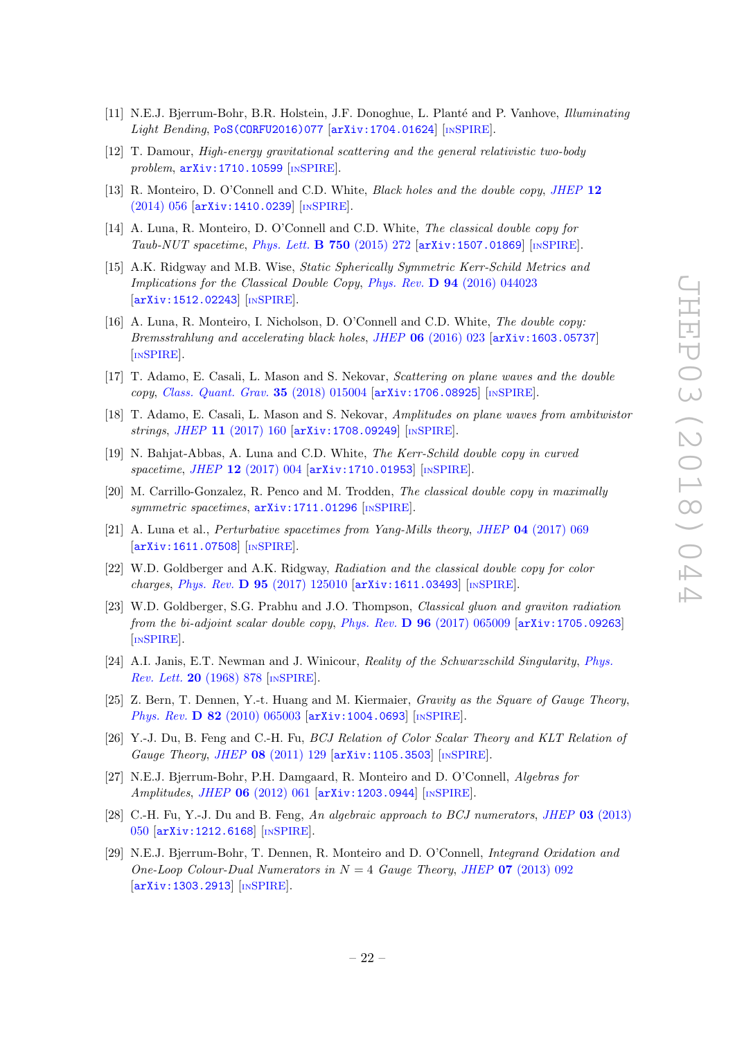- <span id="page-23-0"></span>[11] N.E.J. Bjerrum-Bohr, B.R. Holstein, J.F. Donoghue, L. Planté and P. Vanhove, Illuminating  $Light~Bending, PoS(CORFU2016)077 [arXiv:1704.01624] [INSPIRE].$  $Light~Bending, PoS(CORFU2016)077 [arXiv:1704.01624] [INSPIRE].$  $Light~Bending, PoS(CORFU2016)077 [arXiv:1704.01624] [INSPIRE].$  $Light~Bending, PoS(CORFU2016)077 [arXiv:1704.01624] [INSPIRE].$  $Light~Bending, PoS(CORFU2016)077 [arXiv:1704.01624] [INSPIRE].$  $Light~Bending, PoS(CORFU2016)077 [arXiv:1704.01624] [INSPIRE].$  $Light~Bending, PoS(CORFU2016)077 [arXiv:1704.01624] [INSPIRE].$
- <span id="page-23-1"></span>[12] T. Damour, High-energy gravitational scattering and the general relativistic two-body problem, [arXiv:1710.10599](https://arxiv.org/abs/1710.10599) [IN[SPIRE](https://inspirehep.net/search?p=find+EPRINT+arXiv:1710.10599)].
- <span id="page-23-2"></span>[13] R. Monteiro, D. O'Connell and C.D. White, Black holes and the double copy, [JHEP](https://doi.org/10.1007/JHEP12(2014)056) 12 [\(2014\) 056](https://doi.org/10.1007/JHEP12(2014)056) [[arXiv:1410.0239](https://arxiv.org/abs/1410.0239)] [IN[SPIRE](https://inspirehep.net/search?p=find+EPRINT+arXiv:1410.0239)].
- [14] A. Luna, R. Monteiro, D. O'Connell and C.D. White, The classical double copy for Taub-NUT spacetime, [Phys. Lett.](https://doi.org/10.1016/j.physletb.2015.09.021) **B** 750 (2015) 272  $[\text{arXiv}:1507.01869]$   $[\text{insPIRE}]$ .
- [15] A.K. Ridgway and M.B. Wise, Static Spherically Symmetric Kerr-Schild Metrics and Implications for the Classical Double Copy, Phys. Rev. D 94 [\(2016\) 044023](https://doi.org/10.1103/PhysRevD.94.044023) [[arXiv:1512.02243](https://arxiv.org/abs/1512.02243)] [IN[SPIRE](https://inspirehep.net/search?p=find+EPRINT+arXiv:1512.02243)].
- [16] A. Luna, R. Monteiro, I. Nicholson, D. O'Connell and C.D. White, The double copy: Bremsstrahlung and accelerating black holes, JHEP 06 [\(2016\) 023](https://doi.org/10.1007/JHEP06(2016)023) [[arXiv:1603.05737](https://arxiv.org/abs/1603.05737)] [IN[SPIRE](https://inspirehep.net/search?p=find+EPRINT+arXiv:1603.05737)].
- [17] T. Adamo, E. Casali, L. Mason and S. Nekovar, Scattering on plane waves and the double copy, [Class. Quant. Grav.](https://doi.org/10.1088/1361-6382/aa9961) 35 (2018) 015004 [[arXiv:1706.08925](https://arxiv.org/abs/1706.08925)] [IN[SPIRE](https://inspirehep.net/search?p=find+EPRINT+arXiv:1706.08925)].
- [18] T. Adamo, E. Casali, L. Mason and S. Nekovar, Amplitudes on plane waves from ambitwistor strings, JHEP 11 [\(2017\) 160](https://doi.org/10.1007/JHEP11(2017)160) [[arXiv:1708.09249](https://arxiv.org/abs/1708.09249)] [IN[SPIRE](https://inspirehep.net/search?p=find+EPRINT+arXiv:1708.09249)].
- [19] N. Bahjat-Abbas, A. Luna and C.D. White, The Kerr-Schild double copy in curved spacetime, JHEP 12 [\(2017\) 004](https://doi.org/10.1007/JHEP12(2017)004) [[arXiv:1710.01953](https://arxiv.org/abs/1710.01953)] [IN[SPIRE](https://inspirehep.net/search?p=find+EPRINT+arXiv:1710.01953)].
- <span id="page-23-3"></span>[20] M. Carrillo-Gonzalez, R. Penco and M. Trodden, The classical double copy in maximally symmetric spacetimes,  $arXiv:1711.01296$  [IN[SPIRE](https://inspirehep.net/search?p=find+EPRINT+arXiv:1711.01296)].
- <span id="page-23-4"></span>[21] A. Luna et al., Perturbative spacetimes from Yang-Mills theory, JHEP 04 [\(2017\) 069](https://doi.org/10.1007/JHEP04(2017)069) [[arXiv:1611.07508](https://arxiv.org/abs/1611.07508)] [IN[SPIRE](https://inspirehep.net/search?p=find+EPRINT+arXiv:1611.07508)].
- <span id="page-23-5"></span>[22] W.D. Goldberger and A.K. Ridgway, Radiation and the classical double copy for color charges, Phys. Rev. D 95 [\(2017\) 125010](https://doi.org/10.1103/PhysRevD.95.125010)  $arXiv:1611.03493$  [IN[SPIRE](https://inspirehep.net/search?p=find+EPRINT+arXiv:1611.03493)].
- <span id="page-23-6"></span>[23] W.D. Goldberger, S.G. Prabhu and J.O. Thompson, Classical gluon and graviton radiation from the bi-adjoint scalar double copy, Phys. Rev.  $D$  96 [\(2017\) 065009](https://doi.org/10.1103/PhysRevD.96.065009) [[arXiv:1705.09263](https://arxiv.org/abs/1705.09263)] [IN[SPIRE](https://inspirehep.net/search?p=find+EPRINT+arXiv:1705.09263)].
- <span id="page-23-7"></span>[24] A.I. Janis, E.T. Newman and J. Winicour, Reality of the Schwarzschild Singularity, [Phys.](https://doi.org/10.1103/PhysRevLett.20.878) Rev. Lett. 20 [\(1968\) 878](https://doi.org/10.1103/PhysRevLett.20.878) [IN[SPIRE](https://inspirehep.net/search?p=find+J+%22Phys.Rev.Lett.,20,878%22)].
- <span id="page-23-8"></span>[25] Z. Bern, T. Dennen, Y.-t. Huang and M. Kiermaier, *Gravity as the Square of Gauge Theory*, Phys. Rev. **D 82** [\(2010\) 065003](https://doi.org/10.1103/PhysRevD.82.065003) [[arXiv:1004.0693](https://arxiv.org/abs/1004.0693)] [IN[SPIRE](https://inspirehep.net/search?p=find+EPRINT+arXiv:1004.0693)].
- [26] Y.-J. Du, B. Feng and C.-H. Fu, BCJ Relation of Color Scalar Theory and KLT Relation of Gauge Theory, JHEP 08 [\(2011\) 129](https://doi.org/10.1007/JHEP08(2011)129) [[arXiv:1105.3503](https://arxiv.org/abs/1105.3503)] [IN[SPIRE](https://inspirehep.net/search?p=find+EPRINT+arXiv:1105.3503)].
- [27] N.E.J. Bjerrum-Bohr, P.H. Damgaard, R. Monteiro and D. O'Connell, Algebras for Amplitudes, JHEP 06 [\(2012\) 061](https://doi.org/10.1007/JHEP06(2012)061) [[arXiv:1203.0944](https://arxiv.org/abs/1203.0944)] [IN[SPIRE](https://inspirehep.net/search?p=find+EPRINT+arXiv:1203.0944)].
- [28] C.-H. Fu, Y.-J. Du and B. Feng, An algebraic approach to BCJ numerators, JHEP 03 [\(2013\)](https://doi.org/10.1007/JHEP03(2013)050) [050](https://doi.org/10.1007/JHEP03(2013)050) [[arXiv:1212.6168](https://arxiv.org/abs/1212.6168)] [IN[SPIRE](https://inspirehep.net/search?p=find+EPRINT+arXiv:1212.6168)].
- [29] N.E.J. Bjerrum-Bohr, T. Dennen, R. Monteiro and D. O'Connell, Integrand Oxidation and One-Loop Colour-Dual Numerators in  $N = 4$  Gauge Theory, JHEP 07 [\(2013\) 092](https://doi.org/10.1007/JHEP07(2013)092) [[arXiv:1303.2913](https://arxiv.org/abs/1303.2913)] [IN[SPIRE](https://inspirehep.net/search?p=find+EPRINT+arXiv:1303.2913)].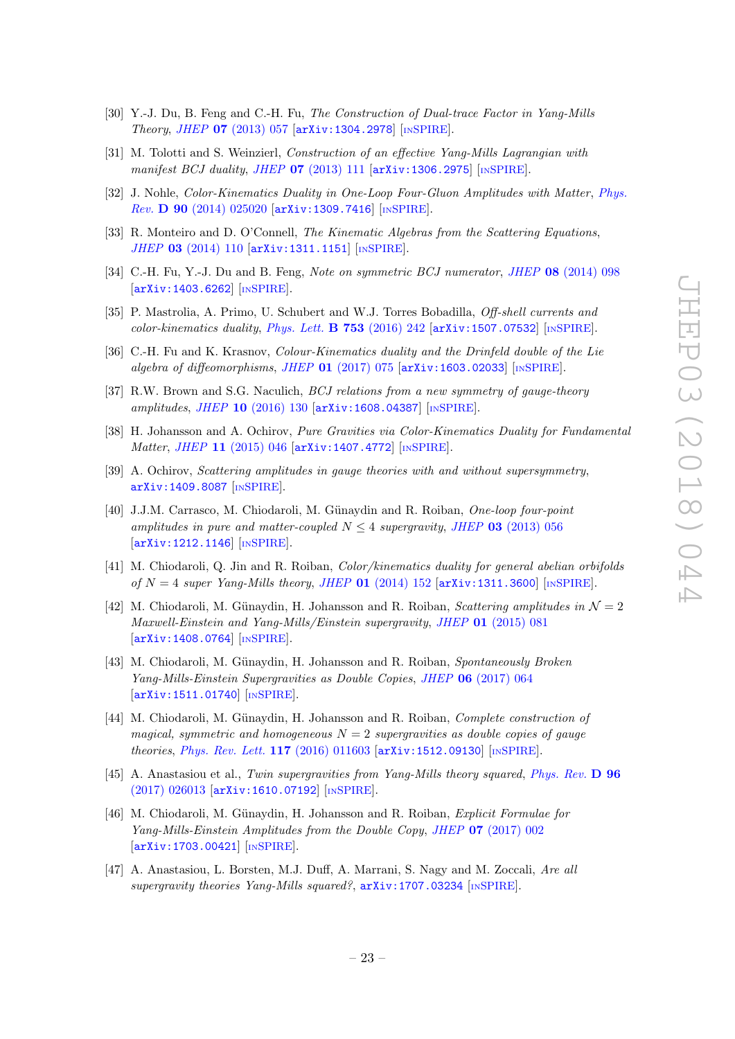- [30] Y.-J. Du, B. Feng and C.-H. Fu, The Construction of Dual-trace Factor in Yang-Mills Theory, JHEP 07 [\(2013\) 057](https://doi.org/10.1007/JHEP07(2013)057) [[arXiv:1304.2978](https://arxiv.org/abs/1304.2978)] [IN[SPIRE](https://inspirehep.net/search?p=find+EPRINT+arXiv:1304.2978)].
- [31] M. Tolotti and S. Weinzierl, Construction of an effective Yang-Mills Lagrangian with manifest BCJ duality, JHEP  $07$  [\(2013\) 111](https://doi.org/10.1007/JHEP07(2013)111)  $\left[$ [arXiv:1306.2975](https://arxiv.org/abs/1306.2975) $\right]$  [IN[SPIRE](https://inspirehep.net/search?p=find+EPRINT+arXiv:1306.2975)].
- [32] J. Nohle, Color-Kinematics Duality in One-Loop Four-Gluon Amplitudes with Matter, [Phys.](https://doi.org/10.1103/PhysRevD.90.025020) Rev. D 90 [\(2014\) 025020](https://doi.org/10.1103/PhysRevD.90.025020) [[arXiv:1309.7416](https://arxiv.org/abs/1309.7416)] [IN[SPIRE](https://inspirehep.net/search?p=find+EPRINT+arXiv:1309.7416)].
- [33] R. Monteiro and D. O'Connell, The Kinematic Algebras from the Scattering Equations, JHEP 03 [\(2014\) 110](https://doi.org/10.1007/JHEP03(2014)110) [[arXiv:1311.1151](https://arxiv.org/abs/1311.1151)] [IN[SPIRE](https://inspirehep.net/search?p=find+EPRINT+arXiv:1311.1151)].
- [34] C.-H. Fu, Y.-J. Du and B. Feng, *Note on symmetric BCJ numerator*, *JHEP* **08** [\(2014\) 098](https://doi.org/10.1007/JHEP08(2014)098) [[arXiv:1403.6262](https://arxiv.org/abs/1403.6262)] [IN[SPIRE](https://inspirehep.net/search?p=find+EPRINT+arXiv:1403.6262)].
- [35] P. Mastrolia, A. Primo, U. Schubert and W.J. Torres Bobadilla, Off-shell currents and  $color-kinematics \ duality, Phys. \ Lett. \ B$  753 (2016) 242  $[array:1507.07532]$   $[insPIRE].$
- [36] C.-H. Fu and K. Krasnov, *Colour-Kinematics duality and the Drinfeld double of the Lie* algebra of diffeomorphisms, JHEP 01 [\(2017\) 075](https://doi.org/10.1007/JHEP01(2017)075)  $\left[$ [arXiv:1603.02033](https://arxiv.org/abs/1603.02033) $\right]$   $\left[$ IN[SPIRE](https://inspirehep.net/search?p=find+EPRINT+arXiv:1603.02033) $\right]$ .
- <span id="page-24-0"></span>[37] R.W. Brown and S.G. Naculich, *BCJ relations from a new symmetry of gauge-theory* amplitudes, JHEP 10 [\(2016\) 130](https://doi.org/10.1007/JHEP10(2016)130) [[arXiv:1608.04387](https://arxiv.org/abs/1608.04387)] [IN[SPIRE](https://inspirehep.net/search?p=find+EPRINT+arXiv:1608.04387)].
- <span id="page-24-1"></span>[38] H. Johansson and A. Ochirov, Pure Gravities via Color-Kinematics Duality for Fundamental Matter, JHEP 11 [\(2015\) 046](https://doi.org/10.1007/JHEP11(2015)046) [[arXiv:1407.4772](https://arxiv.org/abs/1407.4772)] [IN[SPIRE](https://inspirehep.net/search?p=find+EPRINT+arXiv:1407.4772)].
- <span id="page-24-3"></span>[39] A. Ochirov, Scattering amplitudes in gauge theories with and without supersymmetry, [arXiv:1409.8087](https://arxiv.org/abs/1409.8087) [IN[SPIRE](https://inspirehep.net/search?p=find+EPRINT+arXiv:1409.8087)].
- <span id="page-24-2"></span>[40] J.J.M. Carrasco, M. Chiodaroli, M. Günaydin and R. Roiban, *One-loop four-point* amplitudes in pure and matter-coupled  $N \leq 4$  supergravity, JHEP 03 [\(2013\) 056](https://doi.org/10.1007/JHEP03(2013)056) [[arXiv:1212.1146](https://arxiv.org/abs/1212.1146)] [IN[SPIRE](https://inspirehep.net/search?p=find+EPRINT+arXiv:1212.1146)].
- [41] M. Chiodaroli, Q. Jin and R. Roiban, Color/kinematics duality for general abelian orbifolds of  $N = 4$  super Yang-Mills theory, JHEP 01 [\(2014\) 152](https://doi.org/10.1007/JHEP01(2014)152) [[arXiv:1311.3600](https://arxiv.org/abs/1311.3600)] [IN[SPIRE](https://inspirehep.net/search?p=find+EPRINT+arXiv:1311.3600)].
- [42] M. Chiodaroli, M. Günaydin, H. Johansson and R. Roiban, *Scattering amplitudes in*  $\mathcal{N} = 2$ Maxwell-Einstein and Yang-Mills/Einstein supergravity, JHEP 01 [\(2015\) 081](https://doi.org/10.1007/JHEP01(2015)081) [[arXiv:1408.0764](https://arxiv.org/abs/1408.0764)] [IN[SPIRE](https://inspirehep.net/search?p=find+EPRINT+arXiv:1408.0764)].
- [43] M. Chiodaroli, M. Günaydin, H. Johansson and R. Roiban, Spontaneously Broken Yang-Mills-Einstein Supergravities as Double Copies, JHEP 06 [\(2017\) 064](https://doi.org/10.1007/JHEP06(2017)064) [[arXiv:1511.01740](https://arxiv.org/abs/1511.01740)] [IN[SPIRE](https://inspirehep.net/search?p=find+EPRINT+arXiv:1511.01740)].
- [44] M. Chiodaroli, M. Günaydin, H. Johansson and R. Roiban, Complete construction of magical, symmetric and homogeneous  $N = 2$  supergravities as double copies of gauge theories, [Phys. Rev. Lett.](https://doi.org/10.1103/PhysRevLett.117.011603) 117 (2016) 011603  $\text{arXiv:1512.09130}$  $\text{arXiv:1512.09130}$  $\text{arXiv:1512.09130}$  [IN[SPIRE](https://inspirehep.net/search?p=find+EPRINT+arXiv:1512.09130)].
- [45] A. Anastasiou et al., Twin supergravities from Yang-Mills theory squared, [Phys. Rev.](https://doi.org/10.1103/PhysRevD.96.026013) D 96 [\(2017\) 026013](https://doi.org/10.1103/PhysRevD.96.026013) [[arXiv:1610.07192](https://arxiv.org/abs/1610.07192)] [IN[SPIRE](https://inspirehep.net/search?p=find+EPRINT+arXiv:1610.07192)].
- [46] M. Chiodaroli, M. Günaydin, H. Johansson and R. Roiban, *Explicit Formulae for* Yang-Mills-Einstein Amplitudes from the Double Copy, JHEP 07 [\(2017\) 002](https://doi.org/10.1007/JHEP07(2017)002) [[arXiv:1703.00421](https://arxiv.org/abs/1703.00421)] [IN[SPIRE](https://inspirehep.net/search?p=find+EPRINT+arXiv:1703.00421)].
- [47] A. Anastasiou, L. Borsten, M.J. Duff, A. Marrani, S. Nagy and M. Zoccali, Are all supergravity theories Yang-Mills squared?,  $arXiv:1707.03234$  [IN[SPIRE](https://inspirehep.net/search?p=find+EPRINT+arXiv:1707.03234)].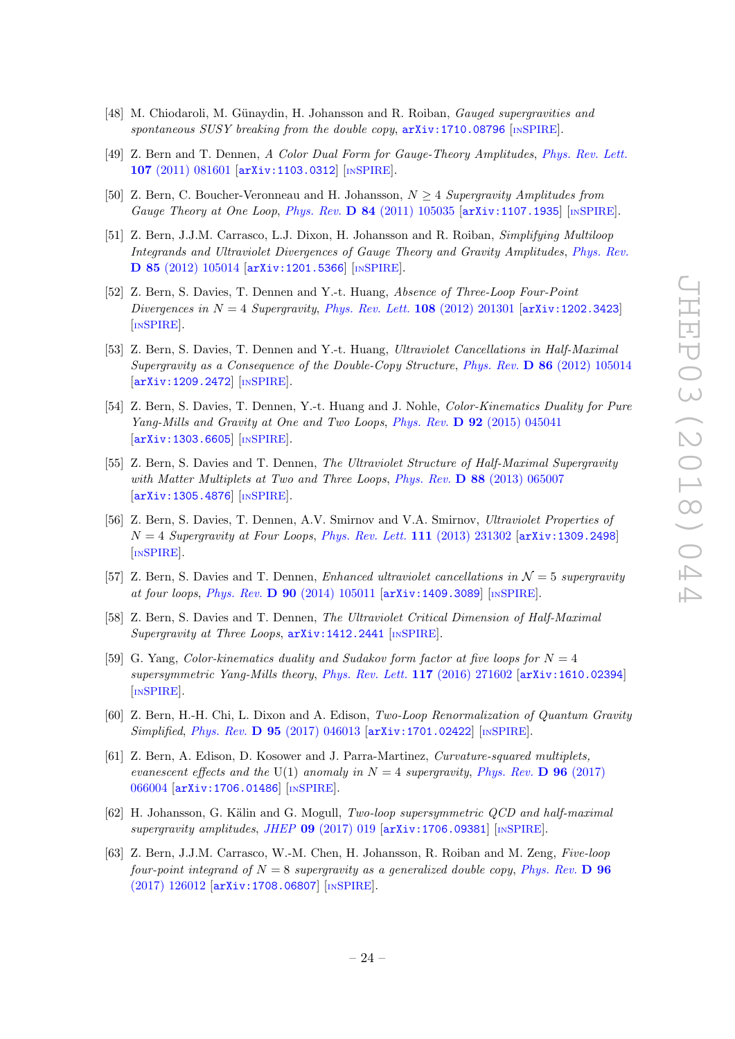- <span id="page-25-0"></span>[48] M. Chiodaroli, M. Günaydin, H. Johansson and R. Roiban, *Gauged supergravities and* spontaneous SUSY breaking from the double copy,  $arXiv:1710.08796$  [IN[SPIRE](https://inspirehep.net/search?p=find+EPRINT+arXiv:1710.08796)].
- <span id="page-25-1"></span>[49] Z. Bern and T. Dennen, A Color Dual Form for Gauge-Theory Amplitudes, [Phys. Rev. Lett.](https://doi.org/10.1103/PhysRevLett.107.081601) 107 [\(2011\) 081601](https://doi.org/10.1103/PhysRevLett.107.081601) [[arXiv:1103.0312](https://arxiv.org/abs/1103.0312)] [IN[SPIRE](https://inspirehep.net/search?p=find+EPRINT+arXiv:1103.0312)].
- [50] Z. Bern, C. Boucher-Veronneau and H. Johansson,  $N \geq 4$  Supergravity Amplitudes from Gauge Theory at One Loop, Phys. Rev.  $\bf{D} 84$  [\(2011\) 105035](https://doi.org/10.1103/PhysRevD.84.105035) [[arXiv:1107.1935](https://arxiv.org/abs/1107.1935)] [IN[SPIRE](https://inspirehep.net/search?p=find+EPRINT+arXiv:1107.1935)].
- [51] Z. Bern, J.J.M. Carrasco, L.J. Dixon, H. Johansson and R. Roiban, Simplifying Multiloop Integrands and Ultraviolet Divergences of Gauge Theory and Gravity Amplitudes, [Phys. Rev.](https://doi.org/10.1103/PhysRevD.85.105014) D 85 [\(2012\) 105014](https://doi.org/10.1103/PhysRevD.85.105014) [[arXiv:1201.5366](https://arxiv.org/abs/1201.5366)] [IN[SPIRE](https://inspirehep.net/search?p=find+EPRINT+arXiv:1201.5366)].
- [52] Z. Bern, S. Davies, T. Dennen and Y.-t. Huang, Absence of Three-Loop Four-Point Divergences in  $N = 4$  Supergravity, [Phys. Rev. Lett.](https://doi.org/10.1103/PhysRevLett.108.201301) 108 (2012) 201301  $\ar{xiv:1202.3423}$ [IN[SPIRE](https://inspirehep.net/search?p=find+EPRINT+arXiv:1202.3423)].
- [53] Z. Bern, S. Davies, T. Dennen and Y.-t. Huang, Ultraviolet Cancellations in Half-Maximal Supergravity as a Consequence of the Double-Copy Structure, Phys. Rev. D 86 [\(2012\) 105014](https://doi.org/10.1103/PhysRevD.86.105014) [[arXiv:1209.2472](https://arxiv.org/abs/1209.2472)] [IN[SPIRE](https://inspirehep.net/search?p=find+EPRINT+arXiv:1209.2472)].
- [54] Z. Bern, S. Davies, T. Dennen, Y.-t. Huang and J. Nohle, Color-Kinematics Duality for Pure Yang-Mills and Gravity at One and Two Loops, Phys. Rev. D 92 [\(2015\) 045041](https://doi.org/10.1103/PhysRevD.92.045041) [[arXiv:1303.6605](https://arxiv.org/abs/1303.6605)] [IN[SPIRE](https://inspirehep.net/search?p=find+EPRINT+arXiv:1303.6605)].
- [55] Z. Bern, S. Davies and T. Dennen, The Ultraviolet Structure of Half-Maximal Supergravity with Matter Multiplets at Two and Three Loops, Phys. Rev. D 88 [\(2013\) 065007](https://doi.org/10.1103/PhysRevD.88.065007) [[arXiv:1305.4876](https://arxiv.org/abs/1305.4876)] [IN[SPIRE](https://inspirehep.net/search?p=find+EPRINT+arXiv:1305.4876)].
- [56] Z. Bern, S. Davies, T. Dennen, A.V. Smirnov and V.A. Smirnov, Ultraviolet Properties of  $N = 4$  Supergravity at Four Loops, [Phys. Rev. Lett.](https://doi.org/10.1103/PhysRevLett.111.231302) 111 (2013) 231302 [[arXiv:1309.2498](https://arxiv.org/abs/1309.2498)] [IN[SPIRE](https://inspirehep.net/search?p=find+EPRINT+arXiv:1309.2498)].
- [57] Z. Bern, S. Davies and T. Dennen, *Enhanced ultraviolet cancellations in*  $\mathcal{N}=5$  *supergravity* at four loops, Phys. Rev. D 90 [\(2014\) 105011](https://doi.org/10.1103/PhysRevD.90.105011) [[arXiv:1409.3089](https://arxiv.org/abs/1409.3089)] [IN[SPIRE](https://inspirehep.net/search?p=find+EPRINT+arXiv:1409.3089)].
- [58] Z. Bern, S. Davies and T. Dennen, The Ultraviolet Critical Dimension of Half-Maximal Supergravity at Three Loops,  $arXiv:1412.2441$  [IN[SPIRE](https://inspirehep.net/search?p=find+EPRINT+arXiv:1412.2441)].
- [59] G. Yang, Color-kinematics duality and Sudakov form factor at five loops for  $N = 4$ supersymmetric Yang-Mills theory, [Phys. Rev. Lett.](https://doi.org/10.1103/PhysRevLett.117.271602) 117 (2016) 271602 [[arXiv:1610.02394](https://arxiv.org/abs/1610.02394)] [IN[SPIRE](https://inspirehep.net/search?p=find+EPRINT+arXiv:1610.02394)].
- [60] Z. Bern, H.-H. Chi, L. Dixon and A. Edison, Two-Loop Renormalization of Quantum Gravity Simplified, Phys. Rev. D 95 [\(2017\) 046013](https://doi.org/10.1103/PhysRevD.95.046013) [[arXiv:1701.02422](https://arxiv.org/abs/1701.02422)] [IN[SPIRE](https://inspirehep.net/search?p=find+EPRINT+arXiv:1701.02422)].
- [61] Z. Bern, A. Edison, D. Kosower and J. Parra-Martinez, Curvature-squared multiplets, evanescent effects and the U(1) anomaly in  $N = 4$  supergravity, [Phys. Rev.](https://doi.org/10.1103/PhysRevD.96.066004) D 96 (2017) [066004](https://doi.org/10.1103/PhysRevD.96.066004) [[arXiv:1706.01486](https://arxiv.org/abs/1706.01486)] [IN[SPIRE](https://inspirehep.net/search?p=find+EPRINT+arXiv:1706.01486)].
- <span id="page-25-2"></span>[62] H. Johansson, G. Kälin and G. Mogull, Two-loop supersymmetric QCD and half-maximal supergravity amplitudes, JHEP  $09$  [\(2017\) 019](https://doi.org/10.1007/JHEP09(2017)019) [[arXiv:1706.09381](https://arxiv.org/abs/1706.09381)] [IN[SPIRE](https://inspirehep.net/search?p=find+EPRINT+arXiv:1706.09381)].
- <span id="page-25-3"></span>[63] Z. Bern, J.J.M. Carrasco, W.-M. Chen, H. Johansson, R. Roiban and M. Zeng, Five-loop four-point integrand of  $N = 8$  supergravity as a generalized double copy, [Phys. Rev.](https://doi.org/10.1103/PhysRevD.96.126012) **D** 96 [\(2017\) 126012](https://doi.org/10.1103/PhysRevD.96.126012) [[arXiv:1708.06807](https://arxiv.org/abs/1708.06807)] [IN[SPIRE](https://inspirehep.net/search?p=find+EPRINT+arXiv:1708.06807)].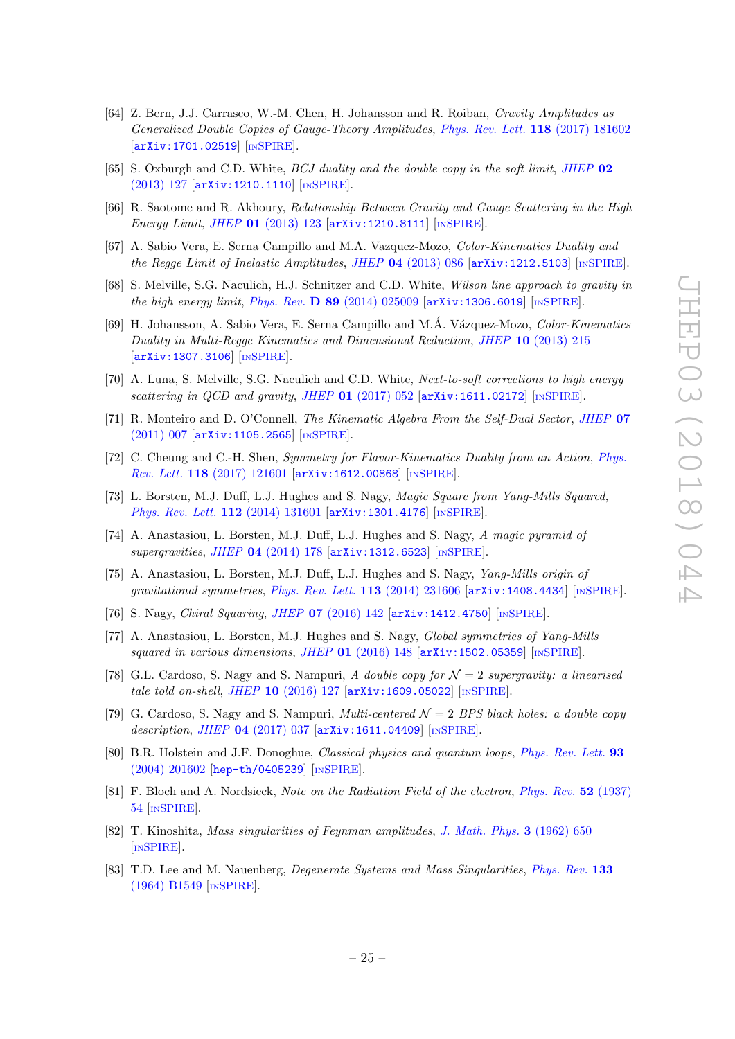- <span id="page-26-0"></span>[64] Z. Bern, J.J. Carrasco, W.-M. Chen, H. Johansson and R. Roiban, Gravity Amplitudes as Generalized Double Copies of Gauge-Theory Amplitudes, [Phys. Rev. Lett.](https://doi.org/10.1103/PhysRevLett.118.181602) 118 (2017) 181602 [[arXiv:1701.02519](https://arxiv.org/abs/1701.02519)] [IN[SPIRE](https://inspirehep.net/search?p=find+EPRINT+arXiv:1701.02519)].
- <span id="page-26-1"></span>[65] S. Oxburgh and C.D. White, BCJ duality and the double copy in the soft limit, [JHEP](https://doi.org/10.1007/JHEP02(2013)127) 02 [\(2013\) 127](https://doi.org/10.1007/JHEP02(2013)127) [[arXiv:1210.1110](https://arxiv.org/abs/1210.1110)] [IN[SPIRE](https://inspirehep.net/search?p=find+EPRINT+arXiv:1210.1110)].
- [66] R. Saotome and R. Akhoury, Relationship Between Gravity and Gauge Scattering in the High Energy Limit, JHEP  $01$  [\(2013\) 123](https://doi.org/10.1007/JHEP01(2013)123)  $\text{arXiv:1210.8111}$  $\text{arXiv:1210.8111}$  $\text{arXiv:1210.8111}$   $\text{[insPIRE]}$ .
- [67] A. Sabio Vera, E. Serna Campillo and M.A. Vazquez-Mozo, Color-Kinematics Duality and the Regge Limit of Inelastic Amplitudes, JHEP 04 [\(2013\) 086](https://doi.org/10.1007/JHEP04(2013)086) [[arXiv:1212.5103](https://arxiv.org/abs/1212.5103)] [IN[SPIRE](https://inspirehep.net/search?p=find+EPRINT+arXiv:1212.5103)].
- [68] S. Melville, S.G. Naculich, H.J. Schnitzer and C.D. White, Wilson line approach to gravity in the high energy limit, Phys. Rev. D 89 [\(2014\) 025009](https://doi.org/10.1103/PhysRevD.89.025009)  $arXiv:1306.6019$  [IN[SPIRE](https://inspirehep.net/search?p=find+EPRINT+arXiv:1306.6019)].
- [69] H. Johansson, A. Sabio Vera, E. Serna Campillo and M.A. Vázquez-Mozo, *Color-Kinematics* Duality in Multi-Regge Kinematics and Dimensional Reduction, JHEP 10 [\(2013\) 215](https://doi.org/10.1007/JHEP10(2013)215) [[arXiv:1307.3106](https://arxiv.org/abs/1307.3106)] [IN[SPIRE](https://inspirehep.net/search?p=find+EPRINT+arXiv:1307.3106)].
- <span id="page-26-2"></span>[70] A. Luna, S. Melville, S.G. Naculich and C.D. White, Next-to-soft corrections to high energy scattering in QCD and gravity, JHEP  $01$  [\(2017\) 052](https://doi.org/10.1007/JHEP01(2017)052) [[arXiv:1611.02172](https://arxiv.org/abs/1611.02172)] [IN[SPIRE](https://inspirehep.net/search?p=find+EPRINT+arXiv:1611.02172)].
- <span id="page-26-3"></span>[71] R. Monteiro and D. O'Connell, The Kinematic Algebra From the Self-Dual Sector, [JHEP](https://doi.org/10.1007/JHEP07(2011)007) 07 [\(2011\) 007](https://doi.org/10.1007/JHEP07(2011)007) [[arXiv:1105.2565](https://arxiv.org/abs/1105.2565)] [IN[SPIRE](https://inspirehep.net/search?p=find+EPRINT+arXiv:1105.2565)].
- <span id="page-26-4"></span>[72] C. Cheung and C.-H. Shen, Symmetry for Flavor-Kinematics Duality from an Action, [Phys.](https://doi.org/10.1103/PhysRevLett.118.121601) Rev. Lett. 118 [\(2017\) 121601](https://doi.org/10.1103/PhysRevLett.118.121601) [[arXiv:1612.00868](https://arxiv.org/abs/1612.00868)] [IN[SPIRE](https://inspirehep.net/search?p=find+EPRINT+arXiv:1612.00868)].
- <span id="page-26-5"></span>[73] L. Borsten, M.J. Duff, L.J. Hughes and S. Nagy, Magic Square from Yang-Mills Squared, [Phys. Rev. Lett.](https://doi.org/10.1103/PhysRevLett.112.131601) 112 (2014) 131601 [[arXiv:1301.4176](https://arxiv.org/abs/1301.4176)] [IN[SPIRE](https://inspirehep.net/search?p=find+EPRINT+arXiv:1301.4176)].
- [74] A. Anastasiou, L. Borsten, M.J. Duff, L.J. Hughes and S. Nagy, A magic pyramid of supergravities, JHEP 04 [\(2014\) 178](https://doi.org/10.1007/JHEP04(2014)178) [[arXiv:1312.6523](https://arxiv.org/abs/1312.6523)] [IN[SPIRE](https://inspirehep.net/search?p=find+EPRINT+arXiv:1312.6523)].
- [75] A. Anastasiou, L. Borsten, M.J. Duff, L.J. Hughes and S. Nagy, Yang-Mills origin of gravitational symmetries, [Phys. Rev. Lett.](https://doi.org/10.1103/PhysRevLett.113.231606) 113 (2014) 231606 [[arXiv:1408.4434](https://arxiv.org/abs/1408.4434)] [IN[SPIRE](https://inspirehep.net/search?p=find+EPRINT+arXiv:1408.4434)].
- [76] S. Nagy, *Chiral Squaring*, *JHEP* 07 [\(2016\) 142](https://doi.org/10.1007/JHEP07(2016)142) [arXiv: 1412.4750] [IN[SPIRE](https://inspirehep.net/search?p=find+EPRINT+arXiv:1412.4750)].
- [77] A. Anastasiou, L. Borsten, M.J. Hughes and S. Nagy, Global symmetries of Yang-Mills squared in various dimensions, JHEP  $01$  [\(2016\) 148](https://doi.org/10.1007/JHEP01(2016)148)  $\left[$ [arXiv:1502.05359](https://arxiv.org/abs/1502.05359) $\right]$   $\left[$ IN[SPIRE](https://inspirehep.net/search?p=find+EPRINT+arXiv:1502.05359) $\right]$ .
- [78] G.L. Cardoso, S. Nagy and S. Nampuri, A double copy for  $\mathcal{N}=2$  supergravity: a linearised tale told on-shell, JHEP 10 [\(2016\) 127](https://doi.org/10.1007/JHEP10(2016)127) [[arXiv:1609.05022](https://arxiv.org/abs/1609.05022)] [IN[SPIRE](https://inspirehep.net/search?p=find+EPRINT+arXiv:1609.05022)].
- <span id="page-26-6"></span>[79] G. Cardoso, S. Nagy and S. Nampuri, *Multi-centered*  $\mathcal{N}=2$  BPS black holes: a double copy description, JHEP  $04$  [\(2017\) 037](https://doi.org/10.1007/JHEP04(2017)037)  $\text{arXiv:1611.04409}$  $\text{arXiv:1611.04409}$  $\text{arXiv:1611.04409}$  [IN[SPIRE](https://inspirehep.net/search?p=find+EPRINT+arXiv:1611.04409)].
- <span id="page-26-7"></span>[80] B.R. Holstein and J.F. Donoghue, *Classical physics and quantum loops*, *[Phys. Rev. Lett.](https://doi.org/10.1103/PhysRevLett.93.201602)* 93 [\(2004\) 201602](https://doi.org/10.1103/PhysRevLett.93.201602) [[hep-th/0405239](https://arxiv.org/abs/hep-th/0405239)] [IN[SPIRE](https://inspirehep.net/search?p=find+EPRINT+hep-th/0405239)].
- <span id="page-26-8"></span>[81] F. Bloch and A. Nordsieck, Note on the Radiation Field of the electron, [Phys. Rev.](https://doi.org/10.1103/PhysRev.52.54) 52 (1937) [54](https://doi.org/10.1103/PhysRev.52.54) [IN[SPIRE](https://inspirehep.net/search?p=find+J+%22Phys.Rev.,52,54%22)].
- [82] T. Kinoshita, Mass singularities of Feynman amplitudes, [J. Math. Phys.](https://doi.org/10.1063/1.1724268) 3 (1962) 650 [IN[SPIRE](https://inspirehep.net/search?p=find+J+%22J.Math.Phys.,3,650%22)].
- <span id="page-26-9"></span>[83] T.D. Lee and M. Nauenberg, *Degenerate Systems and Mass Singularities*, *[Phys. Rev.](https://doi.org/10.1103/PhysRev.133.B1549)* 133 [\(1964\) B1549](https://doi.org/10.1103/PhysRev.133.B1549) [IN[SPIRE](https://inspirehep.net/search?p=find+J+%22Phys.Rev.,133,B1549%22)].